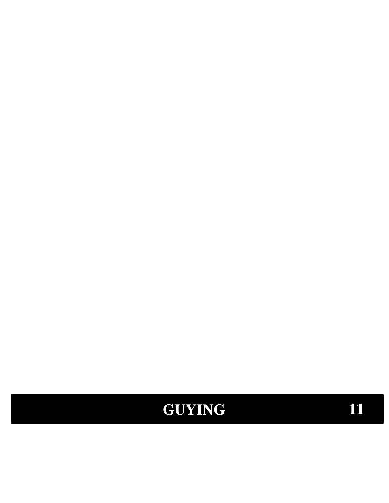# **GUYING**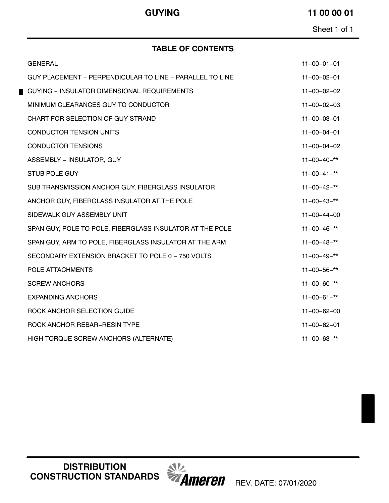### **GUYING 11 00 00 01**

Sheet 1 of 1

### **TABLE OF CONTENTS**

| <b>GENERAL</b>                                           | $11 - 00 - 01 - 01$ |
|----------------------------------------------------------|---------------------|
| GUY PLACEMENT - PERPENDICULAR TO LINE - PARALLEL TO LINE | $11 - 00 - 02 - 01$ |
| GUYING - INSULATOR DIMENSIONAL REQUIREMENTS              | $11 - 00 - 02 - 02$ |
| MINIMUM CLEARANCES GUY TO CONDUCTOR                      | $11 - 00 - 02 - 03$ |
| CHART FOR SELECTION OF GUY STRAND                        | $11 - 00 - 03 - 01$ |
| <b>CONDUCTOR TENSION UNITS</b>                           | $11 - 00 - 04 - 01$ |
| <b>CONDUCTOR TENSIONS</b>                                | $11 - 00 - 04 - 02$ |
| ASSEMBLY - INSULATOR, GUY                                | $11 - 00 - 40 -$ ** |
| <b>STUB POLE GUY</b>                                     | $11 - 00 - 41 -$ ** |
| SUB TRANSMISSION ANCHOR GUY, FIBERGLASS INSULATOR        | $11 - 00 - 42 -$ ** |
| ANCHOR GUY, FIBERGLASS INSULATOR AT THE POLE             | $11 - 00 - 43 -$ ** |
| SIDEWALK GUY ASSEMBLY UNIT                               | $11 - 00 - 44 - 00$ |
| SPAN GUY, POLE TO POLE, FIBERGLASS INSULATOR AT THE POLE | $11 - 00 - 46 -$ ** |
| SPAN GUY, ARM TO POLE, FIBERGLASS INSULATOR AT THE ARM   | $11 - 00 - 48 -$ ** |
| SECONDARY EXTENSION BRACKET TO POLE 0 - 750 VOLTS        | $11 - 00 - 49 -$ ** |
| POLE ATTACHMENTS                                         | $11 - 00 - 56 -$ ** |
| <b>SCREW ANCHORS</b>                                     | $11 - 00 - 60 -$ ** |
| <b>EXPANDING ANCHORS</b>                                 | $11 - 00 - 61 -$ ** |
| ROCK ANCHOR SELECTION GUIDE                              | $11 - 00 - 62 - 00$ |
| ROCK ANCHOR REBAR-RESIN TYPE                             | $11 - 00 - 62 - 01$ |
| HIGH TORQUE SCREW ANCHORS (ALTERNATE)                    | $11 - 00 - 63 -$ ** |
|                                                          |                     |

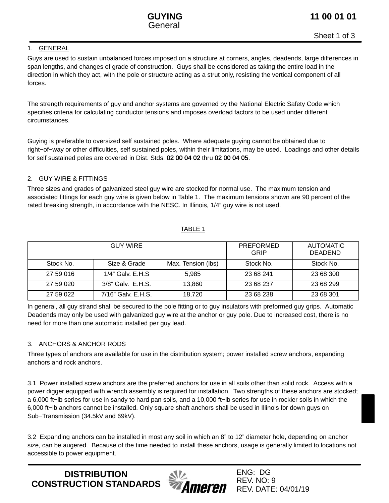

Sheet 1 of 3

#### 1. GENERAL

Guys are used to sustain unbalanced forces imposed on a structure at corners, angles, deadends, large differences in span lengths, and changes of grade of construction. Guys shall be considered as taking the entire load in the direction in which they act, with the pole or structure acting as a strut only, resisting the vertical component of all forces.

The strength requirements of guy and anchor systems are governed by the National Electric Safety Code which specifies criteria for calculating conductor tensions and imposes overload factors to be used under different circumstances.

Guying is preferable to oversized self sustained poles. Where adequate guying cannot be obtained due to right−of−way or other difficulties, self sustained poles, within their limitations, may be used. Loadings and other details for self sustained poles are covered in Dist. Stds. [02 00 04 02](https://ameren.sharepoint.com/:b:/r/sites/DistributionStandards/Construction%20Standards/Standards%20Only/02%20Poles/02%2000%2004%2002.pdf?csf=1&e=UMqTSI) thru [02 00 04 05.](https://ameren.sharepoint.com/:b:/r/sites/DistributionStandards/Construction%20Standards/Standards%20Only/02%20Poles/02%2000%2004%2005.pdf?csf=1&e=4dvELp)

#### 2. GUY WIRE & FITTINGS

Three sizes and grades of galvanized steel guy wire are stocked for normal use. The maximum tension and associated fittings for each guy wire is given below in Table 1. The maximum tensions shown are 90 percent of the rated breaking strength, in accordance with the NESC. In Illinois, 1/4" guy wire is not used.

#### TABLE 1

|           | <b>GUY WIRE</b>     | PREFORMED<br>GRIP  | <b>AUTOMATIC</b><br><b>DEADEND</b> |           |
|-----------|---------------------|--------------------|------------------------------------|-----------|
| Stock No. | Size & Grade        | Max. Tension (lbs) | Stock No.                          | Stock No. |
| 27 59 016 | $1/4$ " Galv. E.H.S | 5.985              | 23 68 241                          | 23 68 300 |
| 27 59 020 | 3/8" Galv. E.H.S.   | 13,860             | 23 68 237                          | 23 68 299 |
| 27 59 022 | 7/16" Galv. E.H.S.  | 18.720             | 23 68 238                          | 23 68 301 |

In general, all guy strand shall be secured to the pole fitting or to guy insulators with preformed guy grips. Automatic Deadends may only be used with galvanized guy wire at the anchor or guy pole. Due to increased cost, there is no need for more than one automatic installed per guy lead.

### 3. ANCHORS & ANCHOR RODS

Three types of anchors are available for use in the distribution system; power installed screw anchors, expanding anchors and rock anchors.

3.1 Power installed screw anchors are the preferred anchors for use in all soils other than solid rock. Access with a power digger equipped with wrench assembly is required for installation. Two strengths of these anchors are stocked; a 6,000 ft−lb series for use in sandy to hard pan soils, and a 10,000 ft−lb series for use in rockier soils in which the 6,000 ft−lb anchors cannot be installed. Only square shaft anchors shall be used in Illinois for down guys on Sub−Transmission (34.5kV and 69kV).

3.2 Expanding anchors can be installed in most any soil in which an 8" to 12" diameter hole, depending on anchor size, can be augered. Because of the time needed to install these anchors, usage is generally limited to locations not accessible to power equipment.

**DISTRIBUTION CONSTRUCTION STANDARDS**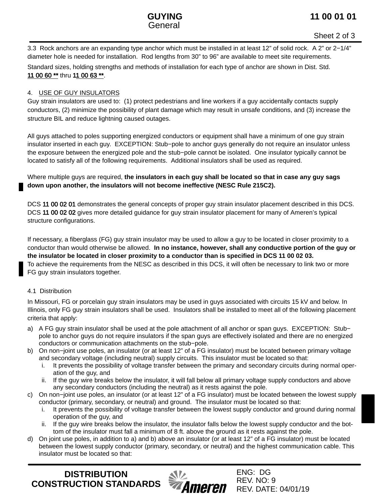

3.3 Rock anchors are an expanding type anchor which must be installed in at least 12" of solid rock. A 2" or 2−1/4" diameter hole is needed for installation. Rod lengths from 30" to 96" are available to meet site requirements.

Standard sizes, holding strengths and methods of installation for each type of anchor are shown in Dist. Std. [11 00 60 \\*\\*](https://ameren.sharepoint.com/:b:/r/sites/DistributionStandards/Construction%20Standards/Standards%20Only/11%20Guying/11%2000%2060.pdf?csf=1&e=8L9S7O) thru [11 00 63 \\*\\*.](https://ameren.sharepoint.com/:b:/r/sites/DistributionStandards/Construction%20Standards/Standards%20Only/11%20Guying/11%2000%2063.pdf?csf=1&e=VDdGEl)

### 4. USE OF GUY INSULATORS

Guy strain insulators are used to: (1) protect pedestrians and line workers if a guy accidentally contacts supply conductors, (2) minimize the possibility of plant damage which may result in unsafe conditions, and (3) increase the structure BIL and reduce lightning caused outages.

All guys attached to poles supporting energized conductors or equipment shall have a minimum of one guy strain insulator inserted in each guy. EXCEPTION: Stub−pole to anchor guys generally do not require an insulator unless the exposure between the energized pole and the stub−pole cannot be isolated. One insulator typically cannot be located to satisfy all of the following requirements. Additional insulators shall be used as required.

Where multiple guys are required, **the insulators in each guy shall be located so that in case any guy sags down upon another, the insulators will not become ineffective (NESC Rule 215C2).**

DCS 11 00 02 01 demonstrates the general concepts of proper guy strain insulator placement described in this DCS. DCS 11 00 02 02 gives more detailed guidance for guy strain insulator placement for many of Ameren's typical structure configurations.

If necessary, a fiberglass (FG) guy strain insulator may be used to allow a guy to be located in closer proximity to a conductor than would otherwise be allowed. **In no instance, however, shall any conductive portion of the guy or the insulator be located in closer proximity to a conductor than is specified in DCS [11 00 02 03](https://ameren.sharepoint.com/:b:/r/sites/DistributionStandards/Construction%20Standards/Standards%20Only/11%20Guying/11%2000%2002%2003.pdf?csf=1&e=euZ4Cr).** To achieve the requirements from the NESC as described in this DCS, it will often be necessary to link two or more FG guy strain insulators together.

#### 4.1 Distribution

In Missouri, FG or porcelain guy strain insulators may be used in guys associated with circuits 15 kV and below. In Illinois, only FG guy strain insulators shall be used. Insulators shall be installed to meet all of the following placement criteria that apply:

- a) A FG guy strain insulator shall be used at the pole attachment of all anchor or span guys. EXCEPTION: Stub− pole to anchor guys do not require insulators if the span guys are effectively isolated and there are no energized conductors or communication attachments on the stub−pole.
- b) On non−joint use poles, an insulator (or at least 12" of a FG insulator) must be located between primary voltage and secondary voltage (including neutral) supply circuits. This insulator must be located so that:
	- i. It prevents the possibility of voltage transfer between the primary and secondary circuits during normal operation of the guy, and
	- ii. If the guy wire breaks below the insulator, it will fall below all primary voltage supply conductors and above any secondary conductors (including the neutral) as it rests against the pole.
- c) On non−joint use poles, an insulator (or at least 12" of a FG insulator) must be located between the lowest supply conductor (primary, secondary, or neutral) and ground. The insulator must be located so that:
	- i. It prevents the possibility of voltage transfer between the lowest supply conductor and ground during normal operation of the guy, and
	- ii. If the guy wire breaks below the insulator, the insulator falls below the lowest supply conductor and the bottom of the insulator must fall a minimum of 8 ft. above the ground as it rests against the pole.
- d) On joint use poles, in addition to a) and b) above an insulator (or at least 12" of a FG insulator) must be located between the lowest supply conductor (primary, secondary, or neutral) and the highest communication cable. This insulator must be located so that:

**DISTRIBUTION CONSTRUCTION STANDARDS**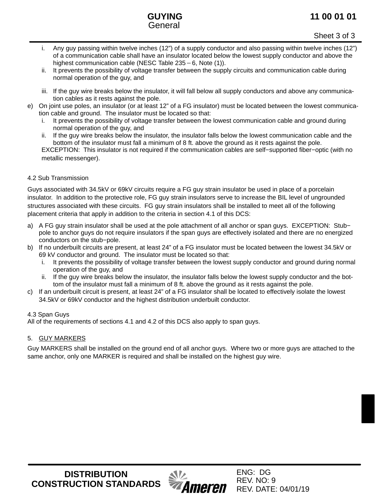### **11 00 01 01**



Sheet 3 of 3

- i. Any guy passing within twelve inches (12") of a supply conductor and also passing within twelve inches (12") of a communication cable shall have an insulator located below the lowest supply conductor and above the Any guy passing within twelve inches (12") of a supply condud<br>of a communication cable shall have an insulator located belo<br>highest communication cable (NESC Table 235 – 6, Note (1)).
- ii. It prevents the possibility of voltage transfer between the supply circuits and communication cable during normal operation of the guy, and
- iii. If the guy wire breaks below the insulator, it will fall below all supply conductors and above any communication cables as it rests against the pole.
- e) On joint use poles, an insulator (or at least 12" of a FG insulator) must be located between the lowest communication cable and ground. The insulator must be located so that:
	- i. It prevents the possibility of voltage transfer between the lowest communication cable and ground during normal operation of the guy, and
	- ii. If the guy wire breaks below the insulator, the insulator falls below the lowest communication cable and the bottom of the insulator must fall a minimum of 8 ft. above the ground as it rests against the pole. EXCEPTION: This insulator is not required if the communication cables are self−supported fiber−optic (with no metallic messenger).

### 4.2 Sub Transmission

Guys associated with 34.5kV or 69kV circuits require a FG guy strain insulator be used in place of a porcelain insulator. In addition to the protective role, FG guy strain insulators serve to increase the BIL level of ungrounded structures associated with these circuits. FG guy strain insulators shall be installed to meet all of the following placement criteria that apply in addition to the criteria in section 4.1 of this DCS:

- a) A FG guy strain insulator shall be used at the pole attachment of all anchor or span guys. EXCEPTION: Stub− pole to anchor guys do not require insulators if the span guys are effectively isolated and there are no energized conductors on the stub−pole.
- b) If no underbuilt circuits are present, at least 24" of a FG insulator must be located between the lowest 34.5kV or 69 kV conductor and ground. The insulator must be located so that:
	- i. It prevents the possibility of voltage transfer between the lowest supply conductor and ground during normal operation of the guy, and
	- ii. If the guy wire breaks below the insulator, the insulator falls below the lowest supply conductor and the bottom of the insulator must fall a minimum of 8 ft. above the ground as it rests against the pole.
- c) If an underbuilt circuit is present, at least 24" of a FG insulator shall be located to effectively isolate the lowest 34.5kV or 69kV conductor and the highest distribution underbuilt conductor.

### 4.3 Span Guys

All of the requirements of sections 4.1 and 4.2 of this DCS also apply to span guys.

### 5. GUY MARKERS

Guy MARKERS shall be installed on the ground end of all anchor guys. Where two or more guys are attached to the same anchor, only one MARKER is required and shall be installed on the highest guy wire.

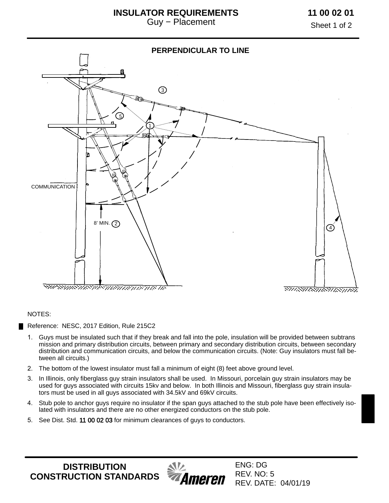Sheet 1 of 2



#### NOTES:

Reference: NESC, 2017 Edition, Rule 215C2

- 1. Guys must be insulated such that if they break and fall into the pole, insulation will be provided between subtrans mission and primary distribution circuits, between primary and secondary distribution circuits, between secondary distribution and communication circuits, and below the communication circuits. (Note: Guy insulators must fall between all circuits.)
- 2. The bottom of the lowest insulator must fall a minimum of eight (8) feet above ground level.
- 3. In Illinois, only fiberglass guy strain insulators shall be used. In Missouri, porcelain guy strain insulators may be used for guys associated with circuits 15kv and below. In both Illinois and Missouri, fiberglass guy strain insulators must be used in all guys associated with 34.5kV and 69kV circuits.
- 4. Stub pole to anchor guys require no insulator if the span guys attached to the stub pole have been effectively isolated with insulators and there are no other energized conductors on the stub pole.
- 5. See Dist. Std. [11 00 02 03](https://ameren.sharepoint.com/:b:/r/sites/DistributionStandards/Construction%20Standards/Standards%20Only/11%20Guying/11%2000%2002%2003.pdf?csf=1&e=euZ4Cr) for minimum clearances of guys to conductors.

**DISTRIBUTION CONSTRUCTION STANDARDS**

**Ameren**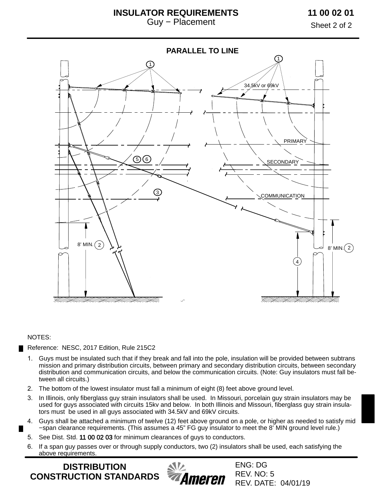### **INSULATOR REQUIREMENTS** Guy − Placement

**11 00 02 01**

Sheet 2 of 2



#### NOTES:

Reference: NESC, 2017 Edition, Rule 215C2

- 1. Guys must be insulated such that if they break and fall into the pole, insulation will be provided between subtrans mission and primary distribution circuits, between primary and secondary distribution circuits, between secondary distribution and communication circuits, and below the communication circuits. (Note: Guy insulators must fall between all circuits.)
- 2. The bottom of the lowest insulator must fall a minimum of eight (8) feet above ground level.
- 3. In Illinois, only fiberglass guy strain insulators shall be used. In Missouri, porcelain guy strain insulators may be used for guys associated with circuits 15kv and below. In both Illinois and Missouri, fiberglass guy strain insulators must be used in all guys associated with 34.5kV and 69kV circuits.
- 4. Guys shall be attached a minimum of twelve (12) feet above ground on a pole, or higher as needed to satisfy mid −span clearance requirements. (This assumes a 45" FG guy insulator to meet the 8' MIN ground level rule.)
- 5. See Dist. Std. [11 00 02 03](https://ameren.sharepoint.com/:b:/r/sites/DistributionStandards/Construction%20Standards/Standards%20Only/11%20Guying/11%2000%2002%2003.pdf?csf=1&e=euZ4Cr) for minimum clearances of guys to conductors.
- 6. If a span guy passes over or through supply conductors, two (2) insulators shall be used, each satisfying the above requirements.

**DISTRIBUTION CONSTRUCTION STANDARDS**

ENG: DG **Ameren** 

REV. NO: 5 REV. DATE: 04/01/19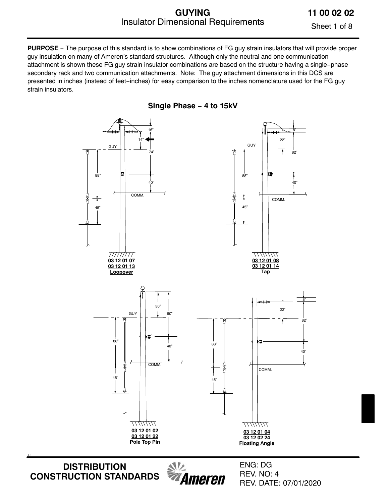### **GUYING** Insulator Dimensional Requirements

**11 00 02 02**

Sheet 1 of 8

**PURPOSE** − The purpose of this standard is to show combinations of FG guy strain insulators that will provide proper guy insulation on many of Ameren's standard structures. Although only the neutral and one communication attachment is shown these FG guy strain insulator combinations are based on the structure having a single−phase secondary rack and two communication attachments. Note: The guy attachment dimensions in this DCS are presented in inches (instead of feet−inches) for easy comparison to the inches nomenclature used for the FG guy strain insulators.

**Single Phase − 4 to 15kV**



**DISTRIBUTION CONSTRUCTION STANDARDS**

+:

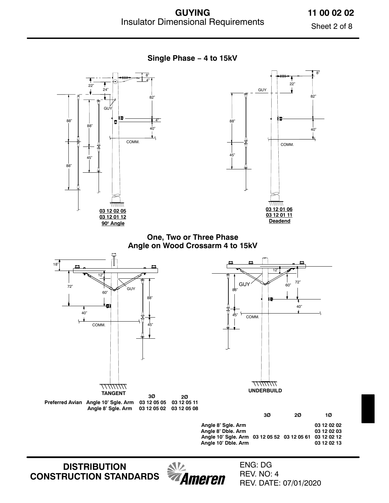**Single Phase − 4 to 15kV**

**11 00 02 02**

Sheet 2 of 8



**DISTRIBUTION CONSTRUCTION STANDARDS**



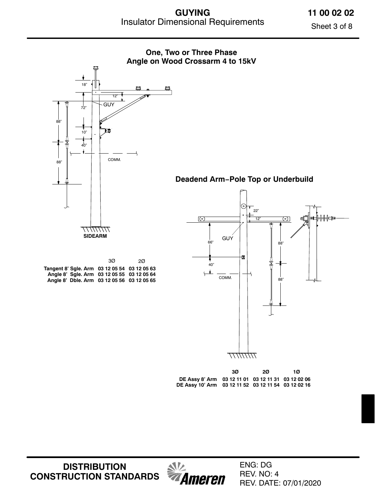**11 00 02 02**

Sheet 3 of 8



**DISTRIBUTION CONSTRUCTION STANDARDS** *<u>Alla</u>*<br>*Ameren*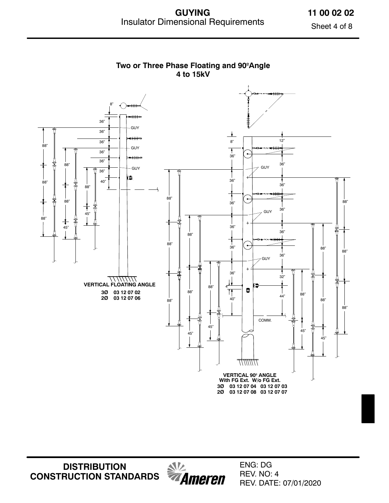**11 00 02 02**

Sheet 4 of 8



**DISTRIBUTION CONSTRUCTION STANDARDS** *<u>SIV</u>*<br>*Ameren*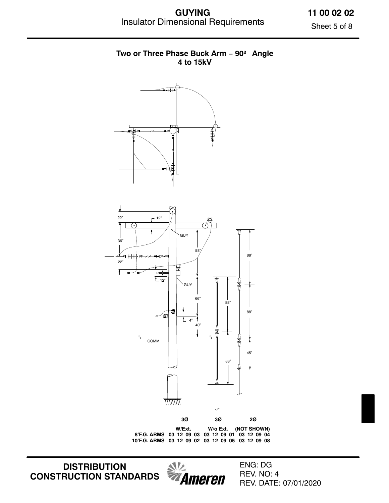**GUYING** Insulator Dimensional Requirements

**11 00 02 02** Sheet 5 of 8

## طللوا ᠇ 22" 12"  $\sqrt{1}$ **GUY** 36" 58" 88" ≖⊨⊭ 22" Ŧ  $\overline{L_{12}}$ GUY 66" 88"88" 鱼  $\overline{L}$  4" 40" ς COMM. 45" 88" *<u>HIIIIIII.</u>* **3Ø 3Ø 2Ø W/Ext. W/o Ext. (NOT SHOWN) 8'F.G. ARMS 03 12 09 03 03 12 09 01 03 12 09 04 10'F.G. ARMS 03 12 09 02 03 12 09 05 03 12 09 08**

**DISTRIBUTION CONSTRUCTION STANDARDS**



ENG: DG REV. NO: 4 REV. DATE: 07/01/2020

### **Two or Three Phase Buck Arm − 90º Angle 4 to 15kV**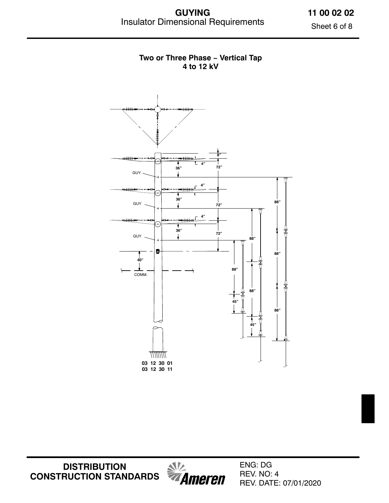**11 00 02 02**

Sheet 6 of 8



### **Two or Three Phase − Vertical Tap 4 to 12 kV**

**DISTRIBUTION CONSTRUCTION STANDARDS**

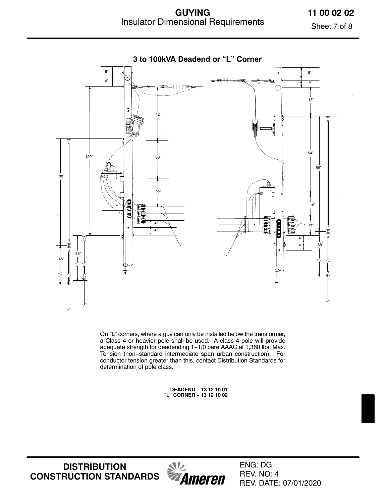**GUYING** Insulator Dimensional Requirements

**11 00 02 02**

Sheet 7 of 8



On "L" corners, where a guy can only be installed below the transformer, a Class 4 or heavier pole shall be used. A class 4 pole will provide adequate strength for deadending 1−1/0 bare AAAC at 1,360 lbs. Max. Tension (non−standard intermediate span urban construction). For conductor tension greater than this, contact Distribution Standards for determination of pole class.

> **DEADEND − 13 12 10 01 "L" CORNER − 13 12 10 02**

**DISTRIBUTION CONSTRUCTION STANDARDS**

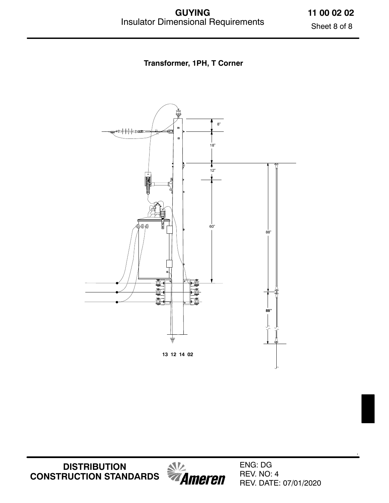**11 00 02 02** Sheet 8 of 8

**Transformer, 1PH, T Corner**



**DISTRIBUTION CONSTRUCTION STANDARDS**



ENG: DG REV. NO: 4 REV. DATE: 07/01/2020 :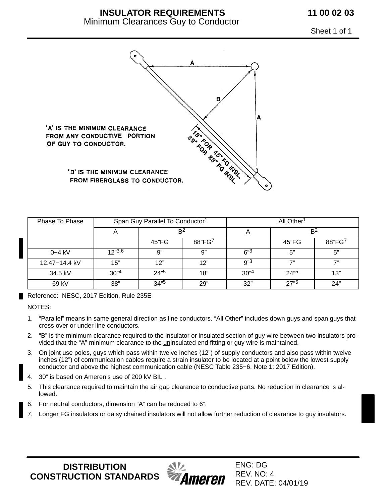## **INSULATOR REQUIREMENTS**

### Minimum Clearances Guy to Conductor

**11 00 02 03**

Sheet 1 of 1



| Phase To Phase |          | Span Guy Parallel To Conductor <sup>1</sup> |        | All Other <sup>1</sup> |                |        |  |  |
|----------------|----------|---------------------------------------------|--------|------------------------|----------------|--------|--|--|
|                |          | B <sup>2</sup>                              |        | $\mathsf{H}$           | B <sup>2</sup> |        |  |  |
|                |          | 45"FG                                       | 88"FG' |                        | 45"FG          | 88"FG7 |  |  |
| $0 - 4$ kV     | 12"3,6   | 9"                                          | 9"     | 6"3                    | 5"             | 5"     |  |  |
| 12.47-14.4 kV  | 15"      | 12"                                         | 12"    | g" <sup>3</sup>        | 7"             | 7"     |  |  |
| 34.5 kV        | $30^{4}$ | $24^{5}$                                    | 18"    | $30^{4}$               | $24^{5}$       | 13"    |  |  |
| 69 kV          | 38"      | $34^{15}$                                   | 29"    | 32"                    | 27"5           | 24"    |  |  |

Reference: NESC, 2017 Edition, Rule 235E

NOTES:

- 1. "Parallel" means in same general direction as line conductors. "All Other" includes down guys and span guys that cross over or under line conductors.
- 2. "B" is the minimum clearance required to the insulator or insulated section of guy wire between two insulators provided that the "A" minimum clearance to the *uninsulated end fitting or guy wire is maintained.*
- 3. On joint use poles, guys which pass within twelve inches (12") of supply conductors and also pass within twelve inches (12") of communication cables require a strain insulator to be located at a point below the lowest supply conductor and above the highest communication cable (NESC Table 235−6, Note 1: 2017 Edition).
- 4. 30" is based on Ameren's use of 200 kV BIL .
- 5. This clearance required to maintain the air gap clearance to conductive parts. No reduction in clearance is allowed.
- 6. For neutral conductors, dimension "A" can be reduced to 6".
- 7. Longer FG insulators or daisy chained insulators will not allow further reduction of clearance to guy insulators.

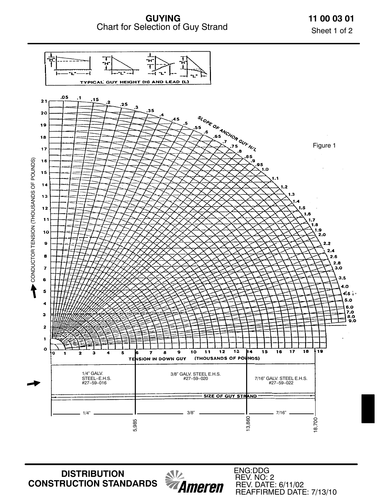**GUYING** Chart for Selection of Guy Strand **11 00 03 01** Sheet 1 of 2



*<u><i><u><b>MILL</u>*</u><br>*MAMEREN*</u>

**DISTRIBUTION CONSTRUCTION STANDARDS**

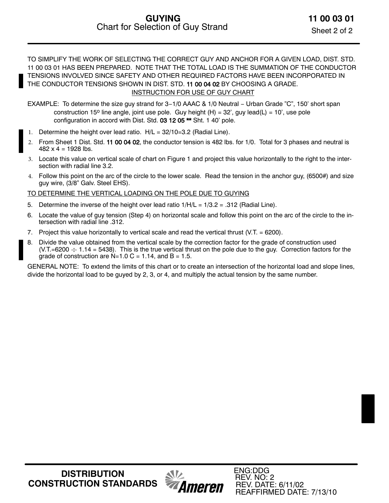TO SIMPLIFY THE WORK OF SELECTING THE CORRECT GUY AND ANCHOR FOR A GIVEN LOAD, DIST. STD. 11 00 03 01 HAS BEEN PREPARED. NOTE THAT THE TOTAL LOAD IS THE SUMMATION OF THE CONDUCTOR TENSIONS INVOLVED SINCE SAFETY AND OTHER REQUIRED FACTORS HAVE BEEN INCORPORATED IN THE CONDUCTOR TENSIONS SHOWN IN DIST. STD. [11 00 04 02](https://ameren.sharepoint.com/:b:/r/sites/DistributionStandards/Construction%20Standards/Standards%20Only/11%20Guying/11%2000%2004%2002.pdf?csf=1&e=pK2Ckd) BY CHOOSING A GRADE. INSTRUCTION FOR USE OF GUY CHART

- EXAMPLE: To determine the size guy strand for 3−1/0 AAAC & 1/0 Neutral − Urban Grade "C", 150' short span construction 15<sup>o</sup> line angle, joint use pole. Guy height (H) = 32', guy lead(L) = 10', use pole configuration in accord with Dist. Std. [03 12 05 \\*\\*](https://ameren.sharepoint.com/:b:/r/sites/DistributionStandards/Construction%20Standards/Standards%20Only/03%20Configurations/03%2012%2005.pdf?csf=1&e=WuieRf) Sht. 1 40' pole.
- 1. Determine the height over lead ratio. H/L = 32/10=3.2 (Radial Line).
- 2. From Sheet 1 Dist. Std. [11 00 04 02,](https://ameren.sharepoint.com/:b:/r/sites/DistributionStandards/Construction%20Standards/Standards%20Only/11%20Guying/11%2000%2004%2002.pdf?csf=1&e=pK2Ckd) the conductor tension is 482 lbs. for 1/0. Total for 3 phases and neutral is  $482 \times 4 = 1928$  lbs.
- 3. Locate this value on vertical scale of chart on Figure 1 and project this value horizontally to the right to the intersection with radial line 3.2.
- 4. Follow this point on the arc of the circle to the lower scale. Read the tension in the anchor guy, (6500#) and size guy wire, (3/8" Galv. Steel EHS).

### TO DETERMINE THE VERTICAL LOADING ON THE POLE DUE TO GUYING

- 5. Determine the inverse of the height over lead ratio  $1/H/L = 1/3.2 = .312$  (Radial Line).
- 6. Locate the value of guy tension (Step 4) on horizontal scale and follow this point on the arc of the circle to the intersection with radial line .312.
- 7. Project this value horizontally to vertical scale and read the vertical thrust (V.T. = 6200).
- 8. Divide the value obtained from the vertical scale by the correction factor for the grade of construction used (V.T.=6200  $\div$  1.14 = 5438). This is the true vertical thrust on the pole due to the guy. Correction factors for the grade of construction are  $N=1.0$  C = 1.14, and B = 1.5.

GENERAL NOTE: To extend the limits of this chart or to create an intersection of the horizontal load and slope lines, divide the horizontal load to be guyed by 2, 3, or 4, and multiply the actual tension by the same number.

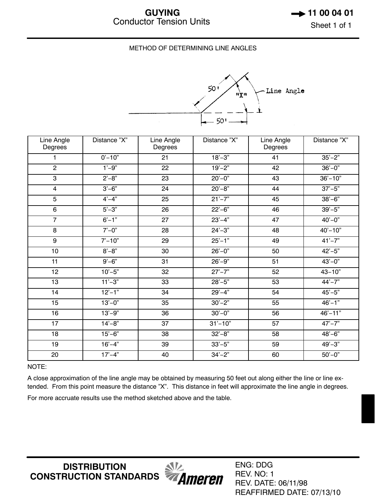#### METHOD OF DETERMINING LINE ANGLES



| Line Angle<br>Degrees | Distance "X"                  | Line Angle<br>Degrees | Distance "X"           | Line Angle<br>Degrees | Distance "X"             |
|-----------------------|-------------------------------|-----------------------|------------------------|-----------------------|--------------------------|
| 1                     | $0' - 10"$                    | 21                    | $18 - 3"$              | 41                    | $35 - 2"$                |
| $\overline{2}$        | $1' - 9"$                     | 22                    | $19 - 2"$              | 42                    | $36'-0$ "                |
| 3                     | $2^{\prime}-8^{\prime\prime}$ | 23                    | $20 - 0$ "             | 43                    | $36' - 10"$              |
| $\overline{4}$        | $3'-6"$                       | 24                    | $20 - 8$ "             | 44                    | $37 - 5"$                |
| 5                     | $4 - 4$ "                     | 25                    | $21'-7"$               | 45                    | $38 - 6$                 |
| 6                     | $5' - 3"$                     | 26                    | $22 - 6"$              | 46                    | $39' - 5"$               |
| $\overline{7}$        | $6' - 1''$                    | 27                    | $23'-4"$               | 47                    | $40^{\circ} - 0^{\circ}$ |
| 8                     | $7^{\circ}-0^{\circ}$         | 28                    | $24 - 3"$              | 48                    | $40 - 10"$               |
| $\boldsymbol{9}$      | $7' - 10"$                    | 29                    | $25 - 1"$              | 49                    | $41' - 7"$               |
| 10                    | $8 - 8"$                      | 30                    | $26 - 0$ "             | 50                    | $42 - 5"$                |
| 11                    | $9' - 6"$                     | 31                    | $26 - 9$               | 51                    | $43 - 0$ "               |
| 12                    | $10' - 5"$                    | 32                    | $27 - 7"$              | 52                    | $43 - 10"$               |
| 13                    | $11' - 3"$                    | 33                    | $28 - 5"$              | 53                    | $44 - 7"$                |
| 14                    | $12 - 1"$                     | 34                    | $29' - 4"$             | 54                    | $45 - 5"$                |
| 15                    | $13'-0$ "                     | 35                    | $30'-2"$               | 55                    | $46 - 1$                 |
| 16                    | $13'-9"$                      | 36                    | $30^{\circ}-0^{\circ}$ | 56                    | $46' - 11"$              |
| 17                    | $14 - 8$                      | 37                    | $31' - 10"$            | 57                    | $47 - 7"$                |
| 18                    | $15 - 6"$                     | 38                    | $32 - 8"$              | 58                    | $48 - 6"$                |
| 19                    | $16 - 4"$                     | 39                    | $33'-5"$               | 59                    | $49 - 3"$                |
| 20                    | $17' - 4"$                    | 40                    | $34 - 2"$              | 60                    | $50 - 0$ "               |

NOTE:

A close approximation of the line angle may be obtained by measuring 50 feet out along either the line or line extended. From this point measure the distance "X". This distance in feet will approximate the line angle in degrees.

For more accruate results use the method sketched above and the table.

**DISTRIBUTION CONSTRUCTION STANDARDS**



ENG: DDG REV. NO: 1 REV. DATE: 06/11/98 REAFFIRMED DATE: 07/13/10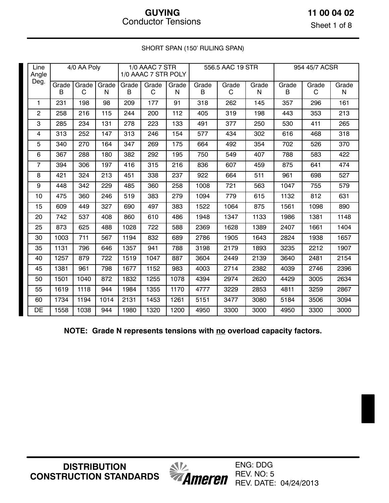### **11 00 04 02**

Sheet 1 of 8

| Line<br>Angle  |            | 4/0 AA Poly |            |            | 1/0 AAAC 7 STR<br>1/0 AAAC 7 STR POLY |            |            | 556.5 AAC 19 STR |            | 954 45/7 ACSR |            |            |  |
|----------------|------------|-------------|------------|------------|---------------------------------------|------------|------------|------------------|------------|---------------|------------|------------|--|
| Deg.           | Grade<br>B | Grade<br>C  | Grade<br>N | Grade<br>B | Grade<br>C                            | Grade<br>N | Grade<br>B | Grade<br>C       | Grade<br>N | Grade<br>B    | Grade<br>C | Grade<br>N |  |
| 1              | 231        | 198         | 98         | 209        | 177                                   | 91         | 318        | 262              | 145        | 357           | 296        | 161        |  |
| $\overline{2}$ | 258        | 216         | 115        | 244        | 200                                   | 112        | 405        | 319              | 198        | 443           | 353        | 213        |  |
| 3              | 285        | 234         | 131        | 278        | 223                                   | 133        | 491        | 377              | 250        | 530           | 411        | 265        |  |
| 4              | 313        | 252         | 147        | 313        | 246                                   | 154        | 577        | 434              | 302        | 616           | 468        | 318        |  |
| 5              | 340        | 270         | 164        | 347        | 269                                   | 175        | 664        | 492              | 354        | 702           | 526        | 370        |  |
| 6              | 367        | 288         | 180        | 382        | 292                                   | 195        | 750        | 549              | 407        | 788           | 583        | 422        |  |
| $\overline{7}$ | 394        | 306         | 197        | 416        | 315                                   | 216        | 836        | 607              | 459        | 875           | 641        | 474        |  |
| 8              | 421        | 324         | 213        | 451        | 338                                   | 237        | 922        | 664              | 511        | 961           | 698        | 527        |  |
| 9              | 448        | 342         | 229        | 485        | 360                                   | 258        | 1008       | 721              | 563        | 1047          | 755        | 579        |  |
| 10             | 475        | 360         | 246        | 519        | 383                                   | 279        | 1094       | 779              | 615        | 1132          | 812        | 631        |  |
| 15             | 609        | 449         | 327        | 690        | 497                                   | 383        | 1522       | 1064             | 875        | 1561          | 1098       | 890        |  |
| 20             | 742        | 537         | 408        | 860        | 610                                   | 486        | 1948       | 1347             | 1133       | 1986          | 1381       | 1148       |  |
| 25             | 873        | 625         | 488        | 1028       | 722                                   | 588        | 2369       | 1628             | 1389       | 2407          | 1661       | 1404       |  |
| 30             | 1003       | 711         | 567        | 1194       | 832                                   | 689        | 2786       | 1905             | 1643       | 2824          | 1938       | 1657       |  |
| 35             | 1131       | 796         | 646        | 1357       | 941                                   | 788        | 3198       | 2179             | 1893       | 3235          | 2212       | 1907       |  |
| 40             | 1257       | 879         | 722        | 1519       | 1047                                  | 887        | 3604       | 2449             | 2139       | 3640          | 2481       | 2154       |  |
| 45             | 1381       | 961         | 798        | 1677       | 1152                                  | 983        | 4003       | 2714             | 2382       | 4039          | 2746       | 2396       |  |
| 50             | 1501       | 1040        | 872        | 1832       | 1255                                  | 1078       | 4394       | 2974             | 2620       | 4429          | 3005       | 2634       |  |
| 55             | 1619       | 1118        | 944        | 1984       | 1355                                  | 1170       | 4777       | 3229             | 2853       | 4811          | 3259       | 2867       |  |
| 60             | 1734       | 1194        | 1014       | 2131       | 1453                                  | 1261       | 5151       | 3477             | 3080       | 5184          | 3506       | 3094       |  |
| DE             | 1558       | 1038        | 944        | 1980       | 1320                                  | 1200       | 4950       | 3300             | 3000       | 4950          | 3300       | 3000       |  |

SHORT SPAN (150' RULING SPAN)

**NOTE: Grade N represents tensions with no overload capacity factors.** 

**DISTRIBUTION CONSTRUCTION STANDARDS** *<u>SI</u>*<br>**Ameren** 

ENG: DDG REV. NO: 5 REV. DATE: 04/24/2013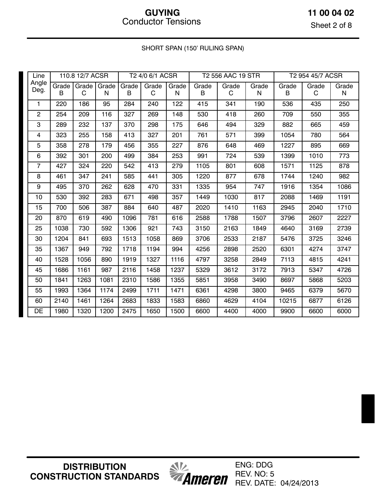**11 00 04 02**

Sheet 2 of 8

### SHORT SPAN (150' RULING SPAN)

| Line           |            | 110.8 12/7 ACSR |                  |            | T2 4/0 6/1 ACSR |            |            | T2 556 AAC 19 STR |            |            | T2 954 45/7 ACSR |                    |
|----------------|------------|-----------------|------------------|------------|-----------------|------------|------------|-------------------|------------|------------|------------------|--------------------|
| Angle<br>Deg.  | Grade<br>B | C               | Grade Grade<br>N | Grade<br>B | Grade<br>C      | Grade<br>N | Grade<br>B | Grade<br>C        | Grade<br>N | Grade<br>B | Grade<br>C       | Grade<br>${\sf N}$ |
| 1              | 220        | 186             | 95               | 284        | 240             | 122        | 415        | 341               | 190        | 536        | 435              | 250                |
| $\overline{c}$ | 254        | 209             | 116              | 327        | 269             | 148        | 530        | 418               | 260        | 709        | 550              | 355                |
| 3              | 289        | 232             | 137              | 370        | 298             | 175        | 646        | 494               | 329        | 882        | 665              | 459                |
| 4              | 323        | 255             | 158              | 413        | 327             | 201        | 761        | 571               | 399        | 1054       | 780              | 564                |
| 5              | 358        | 278             | 179              | 456        | 355             | 227        | 876        | 648               | 469        | 1227       | 895              | 669                |
| 6              | 392        | 301             | 200              | 499        | 384             | 253        | 991        | 724               | 539        | 1399       | 1010             | 773                |
| $\overline{7}$ | 427        | 324             | 220              | 542        | 413             | 279        | 1105       | 801               | 608        | 1571       | 1125             | 878                |
| 8              | 461        | 347             | 241              | 585        | 441             | 305        | 1220       | 877               | 678        | 1744       | 1240             | 982                |
| 9              | 495        | 370             | 262              | 628        | 470             | 331        | 1335       | 954               | 747        | 1916       | 1354             | 1086               |
| 10             | 530        | 392             | 283              | 671        | 498             | 357        | 1449       | 1030              | 817        | 2088       | 1469             | 1191               |
| 15             | 700        | 506             | 387              | 884        | 640             | 487        | 2020       | 1410              | 1163       | 2945       | 2040             | 1710               |
| 20             | 870        | 619             | 490              | 1096       | 781             | 616        | 2588       | 1788              | 1507       | 3796       | 2607             | 2227               |
| 25             | 1038       | 730             | 592              | 1306       | 921             | 743        | 3150       | 2163              | 1849       | 4640       | 3169             | 2739               |
| 30             | 1204       | 841             | 693              | 1513       | 1058            | 869        | 3706       | 2533              | 2187       | 5476       | 3725             | 3246               |
| 35             | 1367       | 949             | 792              | 1718       | 1194            | 994        | 4256       | 2898              | 2520       | 6301       | 4274             | 3747               |
| 40             | 1528       | 1056            | 890              | 1919       | 1327            | 1116       | 4797       | 3258              | 2849       | 7113       | 4815             | 4241               |
| 45             | 1686       | 1161            | 987              | 2116       | 1458            | 1237       | 5329       | 3612              | 3172       | 7913       | 5347             | 4726               |
| 50             | 1841       | 1263            | 1081             | 2310       | 1586            | 1355       | 5851       | 3958              | 3490       | 8697       | 5868             | 5203               |
| 55             | 1993       | 1364            | 1174             | 2499       | 1711            | 1471       | 6361       | 4298              | 3800       | 9465       | 6379             | 5670               |
| 60             | 2140       | 1461            | 1264             | 2683       | 1833            | 1583       | 6860       | 4629              | 4104       | 10215      | 6877             | 6126               |
| DE             | 1980       | 1320            | 1200             | 2475       | 1650            | 1500       | 6600       | 4400              | 4000       | 9900       | 6600             | 6000               |

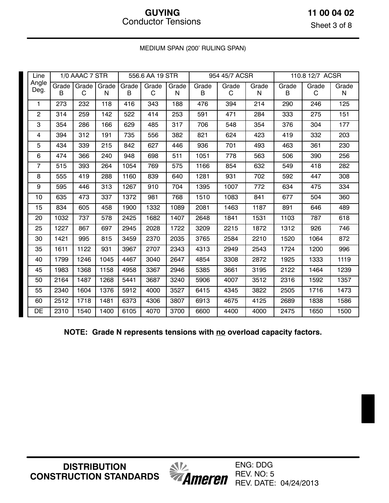**11 00 04 02**

Sheet 3 of 8

### MEDIUM SPAN (200' RULING SPAN)

| Line             |            | 1/0 AAAC 7 STR    |            |            | 556.6 AA 19 STR |            |            | 954 45/7 ACSR |            | 110.8 12/7 ACSR |            |                    |
|------------------|------------|-------------------|------------|------------|-----------------|------------|------------|---------------|------------|-----------------|------------|--------------------|
| Angle<br>Deg.    | Grade<br>B | <b>Grade</b><br>C | Grade<br>N | Grade<br>B | Grade<br>C      | Grade<br>N | Grade<br>В | Grade<br>C    | Grade<br>N | Grade<br>B      | Grade<br>C | Grade<br>${\sf N}$ |
| $\mathbf{1}$     | 273        | 232               | 118        | 416        | 343             | 188        | 476        | 394           | 214        | 290             | 246        | 125                |
| $\overline{c}$   | 314        | 259               | 142        | 522        | 414             | 253        | 591        | 471           | 284        | 333             | 275        | 151                |
| 3                | 354        | 286               | 166        | 629        | 485             | 317        | 706        | 548           | 354        | 376             | 304        | 177                |
| 4                | 394        | 312               | 191        | 735        | 556             | 382        | 821        | 624           | 423        | 419             | 332        | 203                |
| 5                | 434        | 339               | 215        | 842        | 627             | 446        | 936        | 701           | 493        | 463             | 361        | 230                |
| 6                | 474        | 366               | 240        | 948        | 698             | 511        | 1051       | 778           | 563        | 506             | 390        | 256                |
| $\overline{7}$   | 515        | 393               | 264        | 1054       | 769             | 575        | 1166       | 854           | 632        | 549             | 418        | 282                |
| 8                | 555        | 419               | 288        | 1160       | 839             | 640        | 1281       | 931           | 702        | 592             | 447        | 308                |
| $\boldsymbol{9}$ | 595        | 446               | 313        | 1267       | 910             | 704        | 1395       | 1007          | 772        | 634             | 475        | 334                |
| 10               | 635        | 473               | 337        | 1372       | 981             | 768        | 1510       | 1083          | 841        | 677             | 504        | 360                |
| 15               | 834        | 605               | 458        | 1900       | 1332            | 1089       | 2081       | 1463          | 1187       | 891             | 646        | 489                |
| 20               | 1032       | 737               | 578        | 2425       | 1682            | 1407       | 2648       | 1841          | 1531       | 1103            | 787        | 618                |
| 25               | 1227       | 867               | 697        | 2945       | 2028            | 1722       | 3209       | 2215          | 1872       | 1312            | 926        | 746                |
| 30               | 1421       | 995               | 815        | 3459       | 2370            | 2035       | 3765       | 2584          | 2210       | 1520            | 1064       | 872                |
| 35               | 1611       | 1122              | 931        | 3967       | 2707            | 2343       | 4313       | 2949          | 2543       | 1724            | 1200       | 996                |
| 40               | 1799       | 1246              | 1045       | 4467       | 3040            | 2647       | 4854       | 3308          | 2872       | 1925            | 1333       | 1119               |
| 45               | 1983       | 1368              | 1158       | 4958       | 3367            | 2946       | 5385       | 3661          | 3195       | 2122            | 1464       | 1239               |
| 50               | 2164       | 1487              | 1268       | 5441       | 3687            | 3240       | 5906       | 4007          | 3512       | 2316            | 1592       | 1357               |
| 55               | 2340       | 1604              | 1376       | 5912       | 4000            | 3527       | 6415       | 4345          | 3822       | 2505            | 1716       | 1473               |
| 60               | 2512       | 1718              | 1481       | 6373       | 4306            | 3807       | 6913       | 4675          | 4125       | 2689            | 1838       | 1586               |
| DE               | 2310       | 1540              | 1400       | 6105       | 4070            | 3700       | 6600       | 4400          | 4000       | 2475            | 1650       | 1500               |

**NOTE: Grade N represents tensions with no overload capacity factors.** 

**DISTRIBUTION CONSTRUCTION STANDARDS** *<u>SIV</u>*<br>*Ameren* 

ENG: DDG REV. NO: 5 REV. DATE: 04/24/2013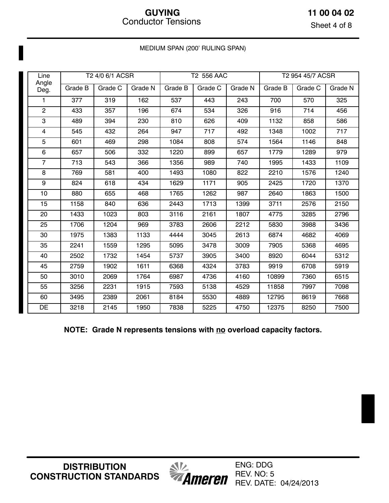Sheet 4 of 8

| Line           |         | T2 4/0 6/1 ACSR |         |         | T2 556 AAC |         | T2 954 45/7 ACSR |         |         |  |
|----------------|---------|-----------------|---------|---------|------------|---------|------------------|---------|---------|--|
| Angle<br>Deg.  | Grade B | Grade C         | Grade N | Grade B | Grade C    | Grade N | Grade B          | Grade C | Grade N |  |
| 1              | 377     | 319             | 162     | 537     | 443        | 243     | 700              | 570     | 325     |  |
| $\overline{2}$ | 433     | 357             | 196     | 674     | 534        | 326     | 916              | 714     | 456     |  |
| 3              | 489     | 394             | 230     | 810     | 626        | 409     | 1132             | 858     | 586     |  |
| $\overline{4}$ | 545     | 432             | 264     | 947     | 717        | 492     | 1348             | 1002    | 717     |  |
| 5              | 601     | 469             | 298     | 1084    | 808        | 574     | 1564             | 1146    | 848     |  |
| $6\phantom{1}$ | 657     | 506             | 332     | 1220    | 899        | 657     | 1779             | 1289    | 979     |  |
| $\overline{7}$ | 713     | 543             | 366     | 1356    | 989        | 740     | 1995             | 1433    | 1109    |  |
| 8              | 769     | 581             | 400     | 1493    | 1080       | 822     | 2210             | 1576    | 1240    |  |
| 9              | 824     | 618             | 434     | 1629    | 1171       | 905     | 2425             | 1720    | 1370    |  |
| 10             | 880     | 655             | 468     | 1765    | 1262       | 987     | 2640             | 1863    | 1500    |  |
| 15             | 1158    | 840             | 636     | 2443    | 1713       | 1399    | 3711             | 2576    | 2150    |  |
| 20             | 1433    | 1023            | 803     | 3116    | 2161       | 1807    | 4775             | 3285    | 2796    |  |
| 25             | 1706    | 1204            | 969     | 3783    | 2606       | 2212    | 5830             | 3988    | 3436    |  |
| 30             | 1975    | 1383            | 1133    | 4444    | 3045       | 2613    | 6874             | 4682    | 4069    |  |
| 35             | 2241    | 1559            | 1295    | 5095    | 3478       | 3009    | 7905             | 5368    | 4695    |  |
| 40             | 2502    | 1732            | 1454    | 5737    | 3905       | 3400    | 8920             | 6044    | 5312    |  |
| 45             | 2759    | 1902            | 1611    | 6368    | 4324       | 3783    | 9919             | 6708    | 5919    |  |
| 50             | 3010    | 2069            | 1764    | 6987    | 4736       | 4160    | 10899            | 7360    | 6515    |  |
| 55             | 3256    | 2231            | 1915    | 7593    | 5138       | 4529    | 11858            | 7997    | 7098    |  |
| 60             | 3495    | 2389            | 2061    | 8184    | 5530       | 4889    | 12795            | 8619    | 7668    |  |
| DE             | 3218    | 2145            | 1950    | 7838    | 5225       | 4750    | 12375            | 8250    | 7500    |  |

MEDIUM SPAN (200' RULING SPAN)

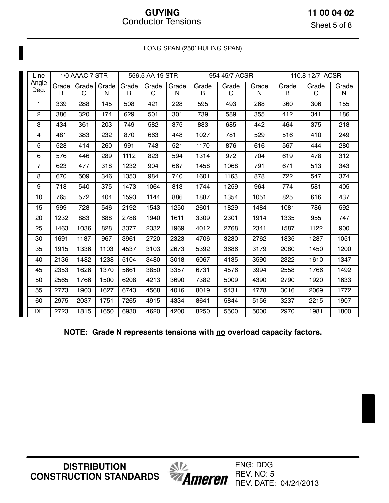Sheet 5 of 8

| Line           |              | 1/0 AAAC 7 STR |       |       | 556.5 AA 19 STR |       |       | 954 45/7 ACSR |       |       | 110.8 12/7 ACSR |       |  |
|----------------|--------------|----------------|-------|-------|-----------------|-------|-------|---------------|-------|-------|-----------------|-------|--|
| Angle          | <b>Grade</b> | Grade          | Grade | Grade | Grade           | Grade | Grade | Grade         | Grade | Grade | Grade           | Grade |  |
| Deg.           | B            | C              | N     | В     | C               | N     | B     | C             | N     | B     | C               | N     |  |
| 1              | 339          | 288            | 145   | 508   | 421             | 228   | 595   | 493           | 268   | 360   | 306             | 155   |  |
| $\overline{c}$ | 386          | 320            | 174   | 629   | 501             | 301   | 739   | 589           | 355   | 412   | 341             | 186   |  |
| 3              | 434          | 351            | 203   | 749   | 582             | 375   | 883   | 685           | 442   | 464   | 375             | 218   |  |
| 4              | 481          | 383            | 232   | 870   | 663             | 448   | 1027  | 781           | 529   | 516   | 410             | 249   |  |
| 5              | 528          | 414            | 260   | 991   | 743             | 521   | 1170  | 876           | 616   | 567   | 444             | 280   |  |
| 6              | 576          | 446            | 289   | 1112  | 823             | 594   | 1314  | 972           | 704   | 619   | 478             | 312   |  |
| $\overline{7}$ | 623          | 477            | 318   | 1232  | 904             | 667   | 1458  | 1068          | 791   | 671   | 513             | 343   |  |
| 8              | 670          | 509            | 346   | 1353  | 984             | 740   | 1601  | 1163          | 878   | 722   | 547             | 374   |  |
| 9              | 718          | 540            | 375   | 1473  | 1064            | 813   | 1744  | 1259          | 964   | 774   | 581             | 405   |  |
| 10             | 765          | 572            | 404   | 1593  | 1144            | 886   | 1887  | 1354          | 1051  | 825   | 616             | 437   |  |
| 15             | 999          | 728            | 546   | 2192  | 1543            | 1250  | 2601  | 1829          | 1484  | 1081  | 786             | 592   |  |
| 20             | 1232         | 883            | 688   | 2788  | 1940            | 1611  | 3309  | 2301          | 1914  | 1335  | 955             | 747   |  |
| 25             | 1463         | 1036           | 828   | 3377  | 2332            | 1969  | 4012  | 2768          | 2341  | 1587  | 1122            | 900   |  |
| 30             | 1691         | 1187           | 967   | 3961  | 2720            | 2323  | 4706  | 3230          | 2762  | 1835  | 1287            | 1051  |  |
| 35             | 1915         | 1336           | 1103  | 4537  | 3103            | 2673  | 5392  | 3686          | 3179  | 2080  | 1450            | 1200  |  |
| 40             | 2136         | 1482           | 1238  | 5104  | 3480            | 3018  | 6067  | 4135          | 3590  | 2322  | 1610            | 1347  |  |
| 45             | 2353         | 1626           | 1370  | 5661  | 3850            | 3357  | 6731  | 4576          | 3994  | 2558  | 1766            | 1492  |  |
| 50             | 2565         | 1766           | 1500  | 6208  | 4213            | 3690  | 7382  | 5009          | 4390  | 2790  | 1920            | 1633  |  |
| 55             | 2773         | 1903           | 1627  | 6743  | 4568            | 4016  | 8019  | 5431          | 4778  | 3016  | 2069            | 1772  |  |
| 60             | 2975         | 2037           | 1751  | 7265  | 4915            | 4334  | 8641  | 5844          | 5156  | 3237  | 2215            | 1907  |  |
| DE             | 2723         | 1815           | 1650  | 6930  | 4620            | 4200  | 8250  | 5500          | 5000  | 2970  | 1981            | 1800  |  |

LONG SPAN (250' RULING SPAN)

**NOTE: Grade N represents tensions with no overload capacity factors.** 

**DISTRIBUTION CONSTRUCTION STANDARDS**

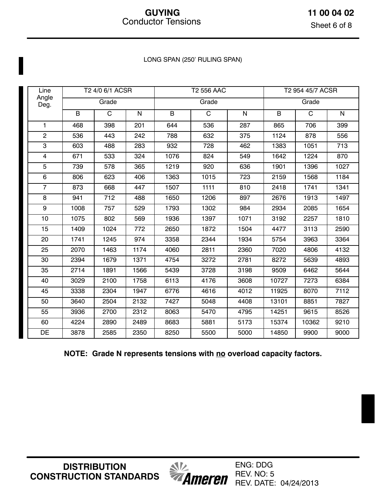**11 00 04 02** Sheet 6 of 8

#### LONG SPAN (250' RULING SPAN)

| Line                    |      | T2 4/0 6/1 ACSR |           |      | T2 556 AAC     |              | T2 954 45/7 ACSR |             |              |  |
|-------------------------|------|-----------------|-----------|------|----------------|--------------|------------------|-------------|--------------|--|
| Angle<br>Deg.           |      | Grade           |           |      | Grade          |              |                  | Grade       |              |  |
|                         | B    | $\mathbf C$     | ${\sf N}$ | B    | $\overline{C}$ | $\mathsf{N}$ | B                | $\mathsf C$ | $\mathsf{N}$ |  |
| $\mathbf{1}$            | 468  | 398             | 201       | 644  | 536            | 287          | 865              | 706         | 399          |  |
| $\overline{c}$          | 536  | 443             | 242       | 788  | 632            | 375          | 1124             | 878         | 556          |  |
| 3                       | 603  | 488             | 283       | 932  | 728            | 462          | 1383             | 1051        | 713          |  |
| $\overline{\mathbf{4}}$ | 671  | 533             | 324       | 1076 | 824            | 549          | 1642             | 1224        | 870          |  |
| 5                       | 739  | 578             | 365       | 1219 | 920            | 636          | 1901             | 1396        | 1027         |  |
| 6                       | 806  | 623             | 406       | 1363 | 1015           | 723          | 2159             | 1568        | 1184         |  |
| $\overline{7}$          | 873  | 668             | 447       | 1507 | 1111           | 810          | 2418             | 1741        | 1341         |  |
| 8                       | 941  | 712             | 488       | 1650 | 1206           | 897          | 2676             | 1913        | 1497         |  |
| 9                       | 1008 | 757             | 529       | 1793 | 1302           | 984          | 2934             | 2085        | 1654         |  |
| 10                      | 1075 | 802             | 569       | 1936 | 1397           | 1071         | 3192             | 2257        | 1810         |  |
| 15                      | 1409 | 1024            | 772       | 2650 | 1872           | 1504         | 4477             | 3113        | 2590         |  |
| 20                      | 1741 | 1245            | 974       | 3358 | 2344           | 1934         | 5754             | 3963        | 3364         |  |
| 25                      | 2070 | 1463            | 1174      | 4060 | 2811           | 2360         | 7020             | 4806        | 4132         |  |
| 30                      | 2394 | 1679            | 1371      | 4754 | 3272           | 2781         | 8272             | 5639        | 4893         |  |
| 35                      | 2714 | 1891            | 1566      | 5439 | 3728           | 3198         | 9509             | 6462        | 5644         |  |
| 40                      | 3029 | 2100            | 1758      | 6113 | 4176           | 3608         | 10727            | 7273        | 6384         |  |
| 45                      | 3338 | 2304            | 1947      | 6776 | 4616           | 4012         | 11925            | 8070        | 7112         |  |
| 50                      | 3640 | 2504            | 2132      | 7427 | 5048           | 4408         | 13101            | 8851        | 7827         |  |
| 55                      | 3936 | 2700            | 2312      | 8063 | 5470           | 4795         | 14251            | 9615        | 8526         |  |
| 60                      | 4224 | 2890            | 2489      | 8683 | 5881           | 5173         | 15374            | 10362       | 9210         |  |
| DE                      | 3878 | 2585            | 2350      | 8250 | 5500           | 5000         | 14850            | 9900        | 9000         |  |

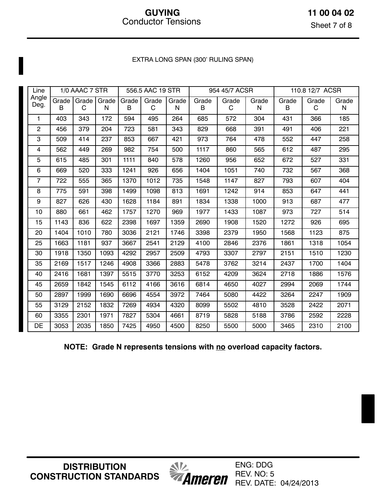### EXTRA LONG SPAN (300' RULING SPAN)

| Line           |            | 1/0 AAAC 7 STR |            |            | 556.5 AAC 19 STR |            |            | 954 45/7 ACSR |            | 110.8 12/7 ACSR |            |                       |
|----------------|------------|----------------|------------|------------|------------------|------------|------------|---------------|------------|-----------------|------------|-----------------------|
| Angle<br>Deg.  | Grade<br>B | Grade<br>C     | Grade<br>N | Grade<br>B | Grade<br>C       | Grade<br>N | Grade<br>B | Grade<br>C    | Grade<br>N | Grade<br>B      | Grade<br>C | Grade<br>$\mathsf{N}$ |
| 1              | 403        | 343            | 172        | 594        | 495              | 264        | 685        | 572           | 304        | 431             | 366        | 185                   |
| $\overline{c}$ | 456        | 379            | 204        | 723        | 581              | 343        | 829        | 668           | 391        | 491             | 406        | 221                   |
| 3              | 509        | 414            | 237        | 853        | 667              | 421        | 973        | 764           | 478        | 552             | 447        | 258                   |
| 4              | 562        | 449            | 269        | 982        | 754              | 500        | 1117       | 860           | 565        | 612             | 487        | 295                   |
| 5              | 615        | 485            | 301        | 1111       | 840              | 578        | 1260       | 956           | 652        | 672             | 527        | 331                   |
| 6              | 669        | 520            | 333        | 1241       | 926              | 656        | 1404       | 1051          | 740        | 732             | 567        | 368                   |
| $\overline{7}$ | 722        | 555            | 365        | 1370       | 1012             | 735        | 1548       | 1147          | 827        | 793             | 607        | 404                   |
| 8              | 775        | 591            | 398        | 1499       | 1098             | 813        | 1691       | 1242          | 914        | 853             | 647        | 441                   |
| 9              | 827        | 626            | 430        | 1628       | 1184             | 891        | 1834       | 1338          | 1000       | 913             | 687        | 477                   |
| 10             | 880        | 661            | 462        | 1757       | 1270             | 969        | 1977       | 1433          | 1087       | 973             | 727        | 514                   |
| 15             | 1143       | 836            | 622        | 2398       | 1697             | 1359       | 2690       | 1908          | 1520       | 1272            | 926        | 695                   |
| 20             | 1404       | 1010           | 780        | 3036       | 2121             | 1746       | 3398       | 2379          | 1950       | 1568            | 1123       | 875                   |
| 25             | 1663       | 1181           | 937        | 3667       | 2541             | 2129       | 4100       | 2846          | 2376       | 1861            | 1318       | 1054                  |
| 30             | 1918       | 1350           | 1093       | 4292       | 2957             | 2509       | 4793       | 3307          | 2797       | 2151            | 1510       | 1230                  |
| 35             | 2169       | 1517           | 1246       | 4908       | 3366             | 2883       | 5478       | 3762          | 3214       | 2437            | 1700       | 1404                  |
| 40             | 2416       | 1681           | 1397       | 5515       | 3770             | 3253       | 6152       | 4209          | 3624       | 2718            | 1886       | 1576                  |
| 45             | 2659       | 1842           | 1545       | 6112       | 4166             | 3616       | 6814       | 4650          | 4027       | 2994            | 2069       | 1744                  |
| 50             | 2897       | 1999           | 1690       | 6696       | 4554             | 3972       | 7464       | 5080          | 4422       | 3264            | 2247       | 1909                  |
| 55             | 3129       | 2152           | 1832       | 7269       | 4934             | 4320       | 8099       | 5502          | 4810       | 3528            | 2422       | 2071                  |
| 60             | 3355       | 2301           | 1971       | 7827       | 5304             | 4661       | 8719       | 5828          | 5188       | 3786            | 2592       | 2228                  |
| DE             | 3053       | 2035           | 1850       | 7425       | 4950             | 4500       | 8250       | 5500          | 5000       | 3465            | 2310       | 2100                  |

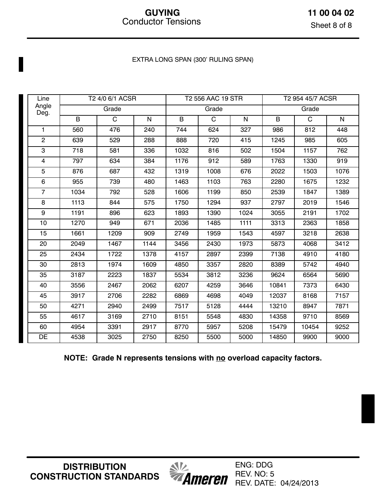### EXTRA LONG SPAN (300' RULING SPAN)

| Line           |      | T2 4/0 6/1 ACSR |      |      | T2 556 AAC 19 STR |      | T2 954 45/7 ACSR |              |      |  |
|----------------|------|-----------------|------|------|-------------------|------|------------------|--------------|------|--|
| Angle<br>Deg.  |      | Grade           |      |      | Grade             |      |                  | Grade        |      |  |
|                | B    | $\mathsf{C}$    | N    | B    | $\mathsf{C}$      | N    | B                | $\mathsf{C}$ | N.   |  |
| $\mathbf{1}$   | 560  | 476             | 240  | 744  | 624               | 327  | 986              | 812          | 448  |  |
| $\overline{2}$ | 639  | 529             | 288  | 888  | 720               | 415  | 1245             | 985          | 605  |  |
| $\overline{3}$ | 718  | 581             | 336  | 1032 | 816               | 502  | 1504             | 1157         | 762  |  |
| 4              | 797  | 634             | 384  | 1176 | 912               | 589  | 1763             | 1330         | 919  |  |
| 5              | 876  | 687             | 432  | 1319 | 1008              | 676  | 2022             | 1503         | 1076 |  |
| 6              | 955  | 739             | 480  | 1463 | 1103              | 763  | 2280             | 1675         | 1232 |  |
| $\overline{7}$ | 1034 | 792             | 528  | 1606 | 1199              | 850  | 2539             | 1847         | 1389 |  |
| 8              | 1113 | 844             | 575  | 1750 | 1294              | 937  | 2797             | 2019         | 1546 |  |
| 9              | 1191 | 896             | 623  | 1893 | 1390              | 1024 | 3055             | 2191         | 1702 |  |
| 10             | 1270 | 949             | 671  | 2036 | 1485              | 1111 | 3313             | 2363         | 1858 |  |
| 15             | 1661 | 1209            | 909  | 2749 | 1959              | 1543 | 4597             | 3218         | 2638 |  |
| 20             | 2049 | 1467            | 1144 | 3456 | 2430              | 1973 | 5873             | 4068         | 3412 |  |
| 25             | 2434 | 1722            | 1378 | 4157 | 2897              | 2399 | 7138             | 4910         | 4180 |  |
| 30             | 2813 | 1974            | 1609 | 4850 | 3357              | 2820 | 8389             | 5742         | 4940 |  |
| 35             | 3187 | 2223            | 1837 | 5534 | 3812              | 3236 | 9624             | 6564         | 5690 |  |
| 40             | 3556 | 2467            | 2062 | 6207 | 4259              | 3646 | 10841            | 7373         | 6430 |  |
| 45             | 3917 | 2706            | 2282 | 6869 | 4698              | 4049 | 12037            | 8168         | 7157 |  |
| 50             | 4271 | 2940            | 2499 | 7517 | 5128              | 4444 | 13210            | 8947         | 7871 |  |
| 55             | 4617 | 3169            | 2710 | 8151 | 5548              | 4830 | 14358            | 9710         | 8569 |  |
| 60             | 4954 | 3391            | 2917 | 8770 | 5957              | 5208 | 15479            | 10454        | 9252 |  |
| DE             | 4538 | 3025            | 2750 | 8250 | 5500              | 5000 | 14850            | 9900         | 9000 |  |

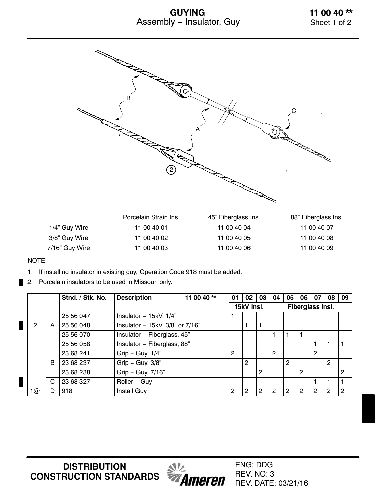### **GUYING** Assembly − Insulator, Guy



#### NOTE:

- 1. If installing insulator in existing guy, Operation Code 918 must be added.
- 2. Porcelain insulators to be used in Missouri only.

|    |   | Stnd. / Stk. No. | <b>Description</b>                    | 11 00 40 ** | 01             | 02         | 03             | 04             | 05             | 06             | 07               | 08             | 09             |
|----|---|------------------|---------------------------------------|-------------|----------------|------------|----------------|----------------|----------------|----------------|------------------|----------------|----------------|
|    |   |                  |                                       |             |                | 15kV Insl. |                |                |                |                | Fiberglass Insl. |                |                |
|    |   | 25 56 047        | Insulator - $15kV$ , $1/4"$           |             |                |            |                |                |                |                |                  |                |                |
| 2  | A | 25 56 048        | Insulator - 15kV, $3/8$ " or $7/16$ " |             |                |            | 1              |                |                |                |                  |                |                |
|    |   | 25 56 070        | Insulator - Fiberglass, 45"           |             |                |            |                |                |                |                |                  |                |                |
|    |   | 25 56 058        | Insulator - Fiberglass, 88"           |             |                |            |                |                |                |                |                  |                |                |
|    |   | 23 68 241        | Grip - Guy, $1/4$ "                   |             | $\overline{2}$ |            |                | $\overline{2}$ |                |                | 2                |                |                |
|    | B | 23 68 237        | Grip - Guy, 3/8"                      |             |                | 2          |                |                | $\overline{c}$ |                |                  | $\overline{2}$ |                |
|    |   | 23 68 238        | Grip - Guy, 7/16"                     |             |                |            | $\overline{2}$ |                |                | $\overline{2}$ |                  |                | $\overline{2}$ |
|    | C | 23 68 327        | Roller - Guy                          |             |                |            |                |                |                |                |                  |                |                |
| 1@ | D | 918              | Install Guy                           |             | 2              | 2          | $\overline{2}$ | 2              | 2              | 2              | $\overline{2}$   | 2              | 2              |

**DISTRIBUTION CONSTRUCTION STANDARDS**



ENG: DDG REV. NO: 3 REV. DATE: 03/21/16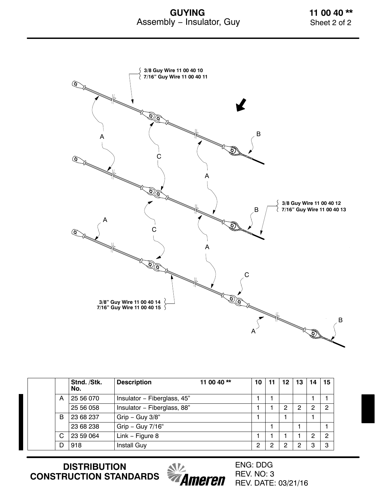### **GUYING** Assembly − Insulator, Guy

**11 00 40 \*\*** Sheet 2 of 2



|   | Stnd. /Stk.<br>No. | <b>Description</b>          | 11 00 40 $**$ | 10 | 11 | 12 | 13 | 14 | 15             |
|---|--------------------|-----------------------------|---------------|----|----|----|----|----|----------------|
| A | 25 56 070          | Insulator - Fiberglass, 45" |               |    |    |    |    |    |                |
|   | 25 56 058          | Insulator - Fiberglass, 88" |               |    |    | 2  | 2  | 2  | $\overline{2}$ |
| B | 23 68 237          | Grip - Guy $3/8$ "          |               |    |    |    |    |    |                |
|   | 23 68 238          | Grip - Guy 7/16"            |               |    |    |    |    |    |                |
| C | 23 59 064          | Link - Figure 8             |               |    |    |    |    | 2  | $\overline{2}$ |
| D | 918                | <b>Install Guy</b>          |               | 2  | ◠  | 2  | 2  | 3  | 3              |

**DISTRIBUTION CONSTRUCTION STANDARDS**



ENG: DDG REV. NO: 3 REV. DATE: 03/21/16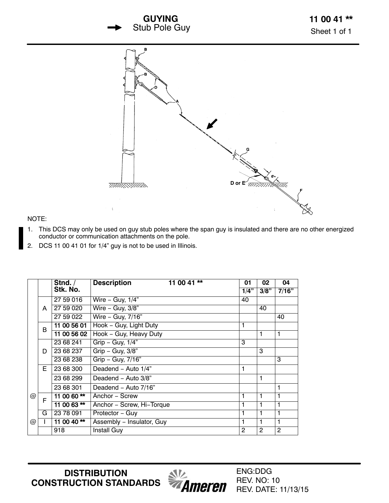



#### NOTE:

- 1. This DCS may only be used on guy stub poles where the span guy is insulated and there are no other energized conductor or communication attachments on the pole.
- 2. DCS 11 00 41 01 for 1/4" guy is not to be used in Illinois.

|            |   | Stnd. /       | <b>Description</b><br>11 00 41 ** | 01   | 02   | 04    |
|------------|---|---------------|-----------------------------------|------|------|-------|
|            |   | Stk. No.      |                                   | 1/4" | 3/8" | 7/16" |
|            |   | 27 59 016     | Wire $-$ Guy, $1/4$ "             | 40   |      |       |
|            | A | 27 59 020     | Wire $-$ Guy, $3/8$ "             |      | 40   |       |
|            |   | 27 59 022     | $Wire - Guy, 7/16"$               |      |      | 40    |
|            | B | 11 00 56 01   | Hook - Guy, Light Duty            | 1    |      |       |
|            |   | 11 00 56 02   | Hook - Guy, Heavy Duty            |      | 1    | 1     |
|            |   | 23 68 241     | Grip - Guy, $1/4$ "               | 3    |      |       |
|            | D | 23 68 237     | $Grip - Guy, 3/8"$                |      | 3    |       |
|            |   | 23 68 238     | Grip - Guy, 7/16"                 |      |      | 3     |
|            | E | 23 68 300     | Deadend - Auto 1/4"               | 1    |      |       |
|            |   | 23 68 299     | Deadend - Auto 3/8"               |      | 1    |       |
|            |   | 23 68 301     | Deadend - Auto 7/16"              |      |      | 1     |
| @          | F | 11 00 60**    | Anchor - Screw                    | 1    | 1    | 1     |
|            |   | 11 00 63 $**$ | Anchor - Screw, Hi-Torque         | 1    | 1    | 1     |
|            | G | 23 78 091     | Protector - Guy                   | 1    | 1    |       |
| $^{\circ}$ |   | 11 00 40**    | Assembly - Insulator, Guy         | 1    | 1    | 1     |
|            |   | 918           | <b>Install Guy</b>                | 2    | 2    | 2     |

**DISTRIBUTION CONSTRUCTION STANDARDS**



ENG:DDG REV. NO: 10 REV. DATE: 11/13/15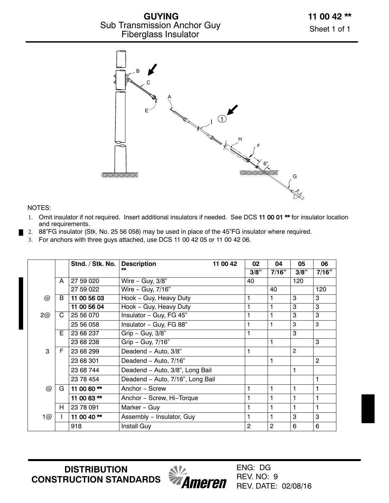

#### NOTES:

- 1. Omit insulator if not required. Insert additional insulators if needed. See DCS [11 00 01 \\*\\*](https://ameren.sharepoint.com/:b:/r/sites/DistributionStandards/Construction%20Standards/Standards%20Only/11%20Guying/11%2000%2001%2001.pdf?csf=1&e=A1boPd) for insulator location and requirements.
- 2. 88"FG insulator (Stk. No. 25 56 058) may be used in place of the 45"FG insulator where required.
- 3. For anchors with three guys attached, use DCS 11 00 42 05 or 11 00 42 06.

|                 |   | Stnd. / Stk. No. | <b>Description</b><br>11 00 42   | 02   | 04             | 05             | 06             |
|-----------------|---|------------------|----------------------------------|------|----------------|----------------|----------------|
|                 |   |                  |                                  | 3/8" | 7/16"          | 3/8"           | 7/16"          |
|                 | A | 27 59 020        | Wire - Guy, 3/8"                 | 40   |                | 120            |                |
|                 |   | 27 59 022        | Wire - Guy, 7/16"                |      | 40             |                | 120            |
| $^{\circledR}$  | B | 11 00 56 03      | Hook - Guy, Heavy Duty           |      | 1              | 3              | 3              |
|                 |   | 11 00 56 04      | Hook - Guy, Heavy Duty           |      | 1              | 3              | 3              |
| 2@              | C | 25 56 070        | Insulator - Guy, FG 45"          |      | 1              | 3              | 3              |
|                 |   | 25 56 058        | Insulator - Guy, FG 88"          | 1    | 1              | 3              | 3              |
|                 | E | 23 68 237        | $Grip - Guy, 3/8"$               | 1    |                | 3              |                |
|                 |   | 23 68 238        | Grip - Guy, 7/16"                |      | 1              |                | 3              |
| 3               | F | 23 68 299        | Deadend - Auto, 3/8"             |      |                | $\overline{2}$ |                |
|                 |   | 23 68 301        | Deadend - Auto, 7/16"            |      | 1              |                | $\overline{2}$ |
|                 |   | 23 68 744        | Deadend - Auto, 3/8", Long Bail  |      |                | 1              |                |
|                 |   | 23 78 454        | Deadend - Auto, 7/16", Long Bail |      |                |                | $\mathbf{1}$   |
| $^{\copyright}$ | G | 11 00 60 **      | Anchor - Screw                   |      | 1              | $\mathbf{1}$   | 1              |
|                 |   | 11 00 63**       | Anchor - Screw, Hi-Torque        |      | 1              | 1              | 1              |
|                 | H | 23 78 091        | Marker - Guy                     |      | 1              | 1              | 1              |
| 1@              |   | 11 00 40**       | Assembly - Insulator, Guy        |      | 1              | 3              | 3              |
|                 |   | 918              | <b>Install Guy</b>               | 2    | $\overline{c}$ | 6              | 6              |

**DISTRIBUTION CONSTRUCTION STANDARDS**

*<u><i><b>MILA</u>*<br>*Ameren*</u>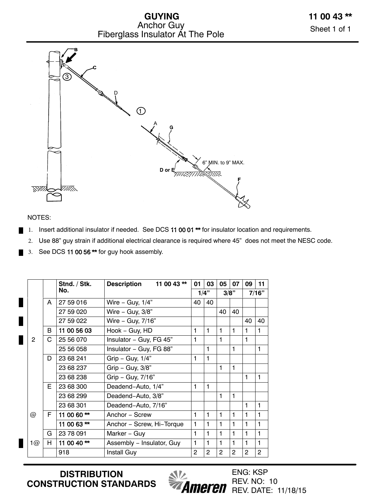**GUYING** Anchor Guy Fiberglass Insulator At The Pole



#### NOTES:

- 1. Insert additional insulator if needed. See DCS 11 00 01<sup>\*\*</sup> for insulator location and requirements.
	- 2. Use 88" guy strain if additional electrical clearance is required where 45" does not meet the NESC code.
- 3. See DCS 11 00 56 $**$  for guy hook assembly.

|                |    | Stnd. / Stk.  | 11 00 43 **<br><b>Description</b> | 01             | 03             | 05             | 07           | 09           | 11             |
|----------------|----|---------------|-----------------------------------|----------------|----------------|----------------|--------------|--------------|----------------|
|                |    | No.           |                                   |                | 1/4"           |                | 3/8"         |              | 7/16"          |
|                | A  | 27 59 016     | Wire - Guy, $1/4$ "               | 40             | 40             |                |              |              |                |
|                |    | 27 59 020     | Wire $-$ Guy, $3/8$ "             |                |                | 40             | 40           |              |                |
|                |    | 27 59 022     | Wire - Guy, 7/16"                 |                |                |                |              | 40           | 40             |
|                | B  | 11 00 56 03   | Hook - Guy, HD                    | 1              | $\mathbf{1}$   | 1              | 1            | 1            | 1              |
| $\overline{2}$ | C  | 25 56 070     | Insulator - Guy, FG 45"           | 1              |                | 1              |              | $\mathbf{1}$ |                |
|                |    | 25 56 058     | Insulator - Guy, FG 88"           |                | 1              |                | 1            |              | 1              |
|                | D  | 23 68 241     | Grip - Guy, $1/4$ "               | 1              | 1              |                |              |              |                |
|                |    | 23 68 237     | Grip - Guy, $3/8$ "               |                |                | 1              | $\mathbf{1}$ |              |                |
|                |    | 23 68 238     | Grip - Guy, 7/16"                 |                |                |                |              | 1            | 1              |
|                | F. | 23 68 300     | Deadend-Auto, 1/4"                | 1              | 1              |                |              |              |                |
|                |    | 23 68 299     | Deadend-Auto, 3/8"                |                |                | 1              | 1            |              |                |
|                |    | 23 68 301     | Deadend-Auto, 7/16"               |                |                |                |              | 1            | 1              |
| @              | F. | 11 00 60 **   | Anchor - Screw                    | 1              | 1              | 1              | 1            | 1            | 1              |
|                |    | 11 00 63 $**$ | Anchor - Screw, Hi-Torque         | 1              | $\mathbf{1}$   | 1              | 1            | $\mathbf{1}$ | 1              |
|                | G  | 23 78 091     | Marker - Guy                      | 1              | 1              | 1              | $\mathbf{1}$ | 1            | 1              |
| 1@             | H  | 11 00 40 $**$ | Assembly - Insulator, Guy         | 1              | 1              | 1              | 1            | 1            | 1              |
|                |    | 918           | Install Guy                       | $\overline{2}$ | $\overline{2}$ | $\overline{2}$ | 2            | 2            | $\overline{2}$ |

**DISTRIBUTION CONSTRUCTION STANDARDS**



ENG: KSP REV. NO: 10 **Ameren** REV. DATE: 11/18/15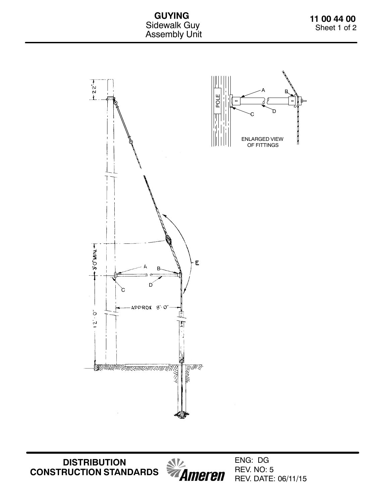**GUYING** Sidewalk Guy Assembly Unit



**DISTRIBUTION CONSTRUCTION STANDARDS**

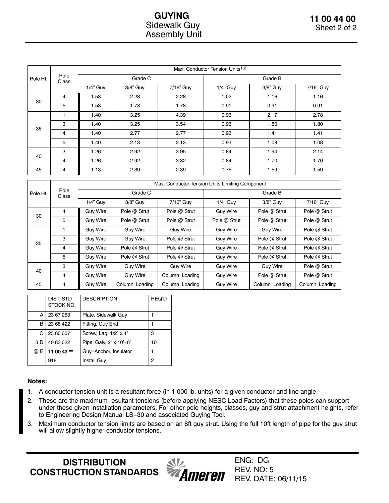### **GUYING** Sidewalk Guy Assembly Unit

|          |                |             |          |           | Max. Conductor Tension Units <sup>1,2</sup> |          |           |  |  |
|----------|----------------|-------------|----------|-----------|---------------------------------------------|----------|-----------|--|--|
| Pole Ht. | Pole<br>Class  |             | Grade C  |           | Grade B                                     |          |           |  |  |
|          |                | $1/4$ " Guy | 3/8" Guy | 7/16" Guy | 1/4" Guy                                    | 3/8" Guy | 7/16" Guy |  |  |
| 30       | $\overline{4}$ | 1.53        | 2.28     | 2.28      | 1.02                                        | 1.16     | 1.16      |  |  |
|          | 5              | 1.53        | 1.78     | 1.78      | 0.91                                        | 0.91     | 0.91      |  |  |
|          |                | 1.40        | 3.25     | 4.39      | 0.93                                        | 2.17     | 2.78      |  |  |
| 35       | 3              | 1.40        | 3.25     | 3.54      | 0.93                                        | 1.80     | 1.80      |  |  |
|          | 4              | 1.40        | 2.77     | 2.77      | 0.93                                        | 1.41     | 1.41      |  |  |
|          | 5              | 1.40        | 2.13     | 2.13      | 0.93                                        | 1.08     | 1.08      |  |  |
|          | 3              | 1.26        | 2.92     | 3.95      | 0.84                                        | 1.94     | 2.14      |  |  |
| 40       | $\overline{4}$ | 1.26        | 2.92     | 3.32      | 0.84                                        | 1.70     | 1.70      |  |  |
| 45       | 4              | 1.13        | 2.39     | 2.39      | 0.75                                        | 1.59     | 1.59      |  |  |

|          |               |                 |                 | Max. Conductor Tension Units Limiting Component |                 |                 |                |  |  |  |
|----------|---------------|-----------------|-----------------|-------------------------------------------------|-----------------|-----------------|----------------|--|--|--|
| Pole Ht. | Pole<br>Class |                 | Grade C         |                                                 | Grade B         |                 |                |  |  |  |
|          |               | $1/4$ " Guy     | $3/8$ " Guy     | 7/16" Guy                                       | $1/4$ " Guv     | $3/8$ " Guy     | 7/16" Guy      |  |  |  |
| 30       | 4             | <b>Guy Wire</b> | Pole @ Strut    | Pole @ Strut                                    | <b>Guy Wire</b> | Pole @ Strut    | Pole @ Strut   |  |  |  |
|          | 5             | <b>Guy Wire</b> | Pole @ Strut    | Pole @ Strut                                    | Pole @ Strut    | Pole @ Strut    | Pole @ Strut   |  |  |  |
|          |               | <b>Guy Wire</b> | <b>Guy Wire</b> | <b>Guy Wire</b>                                 | <b>Guy Wire</b> | <b>Guy Wire</b> | Pole @ Strut   |  |  |  |
| 35       | 3             | <b>Guy Wire</b> | <b>Guy Wire</b> | Pole @ Strut                                    | <b>Guy Wire</b> | Pole @ Strut    | Pole @ Strut   |  |  |  |
|          | 4             | <b>Guy Wire</b> | Pole @ Strut    | Pole @ Strut                                    | <b>Guy Wire</b> | Pole $@$ Strut  | Pole @ Strut   |  |  |  |
|          | 5             | <b>Guy Wire</b> | Pole @ Strut    | Pole @ Strut                                    | <b>Guy Wire</b> | Pole @ Strut    | Pole @ Strut   |  |  |  |
| 40       | 3             | <b>Guy Wire</b> | <b>Guy Wire</b> | <b>Guy Wire</b>                                 | <b>Guy Wire</b> | <b>Guy Wire</b> | Pole @ Strut   |  |  |  |
|          | 4             | <b>Guy Wire</b> | <b>Guy Wire</b> | Column Loading                                  | <b>Guy Wire</b> | Pole $@$ Strut  | Pole @ Strut   |  |  |  |
| 45       | 4             | <b>Guy Wire</b> | Column Loading  | Column Loading                                  | <b>Guy Wire</b> | Column Loading  | Column Loading |  |  |  |

|            | DIST. STD<br>STOCK NO. | <b>DESCRIPTION</b>      | REQ'D |
|------------|------------------------|-------------------------|-------|
| А          | 23 67 263              | Plate, Sidewalk Guy     |       |
| в          | 23 68 422              | Fitting, Guy End        |       |
| C          | 23 60 007              | Screw, Lag, 1/2" x 4"   | 3     |
| 3 D        | 40 83 022              | Pipe, Galv, 2" x 10'-0" | 10    |
| $\varpi$ E | 11 00 43 $**$          | Guy-Anchor, Insulator   |       |
|            | 918                    | <b>Install Guy</b>      | 2     |

### **Notes:**

- 1. A conductor tension unit is a resultant force (in 1,000 lb. units) for a given conductor and line angle.
- 2. These are the maximum resultant tensions (before applying NESC Load Factors) that these poles can support under these given installation parameters. For other pole heights, classes, guy and strut attachment heights, refer to Engineering Design Manual LS−30 and associated Guying Tool.
- 3. Maximum conductor tension limits are based on an 8ft guy strut. Using the full 10ft length of pipe for the guy strut will allow slightly higher conductor tensions.

**DISTRIBUTION CONSTRUCTION STANDARDS**

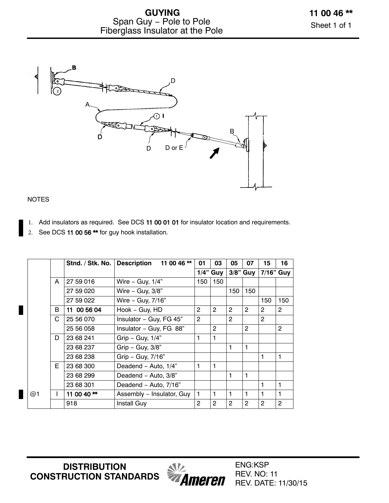

### NOTES

- 1. Add insulators as required. See DCS [11 00 01 01](https://ameren.sharepoint.com/:b:/r/sites/DistributionStandards/Construction%20Standards/Standards%20Only/11%20Guying/11%2000%2001%2001.pdf?csf=1&e=vrE8KH) for insulator location and requirements.
- 2. See DCS 11 00 56<sup>\*\*</sup> for guy hook installation.

|    |    | Stnd. / Stk. No. | 11 00 46 **<br><b>Description</b> | 01             | 03             | 05             | 07             | 15             | 16             |
|----|----|------------------|-----------------------------------|----------------|----------------|----------------|----------------|----------------|----------------|
|    |    |                  |                                   |                | $1/4$ " Guy    |                | $3/8"$ Guy     | 7/16" Guy      |                |
|    | A  | 27 59 016        | Wire - Guy, $1/4$ "               | 150            | 150            |                |                |                |                |
|    |    | 27 59 020        | Wire $-$ Guy, $3/8$ "             |                |                | 150            | 150            |                |                |
|    |    | 27 59 022        | Wire - Guy, 7/16"                 |                |                |                |                | 150            | 150            |
|    | B  | 11 00 56 04      | Hook - Guy, HD                    | $\overline{2}$ | $\overline{2}$ | $\overline{2}$ | $\overline{2}$ | $\overline{2}$ | $\overline{2}$ |
|    | C  | 25 56 070        | Insulator - Guy, FG 45"           | $\overline{2}$ |                | 2              |                | 2              |                |
|    |    | 25 56 058        | Insulator - Guy, FG 88"           |                | $\overline{2}$ |                | $\overline{2}$ |                | $\overline{2}$ |
|    | D  | 23 68 241        | Grip - Guy, $1/4$ "               | 1              | 1              |                |                |                |                |
|    |    | 23 68 237        | $Grip - Guy, 3/8"$                |                |                |                |                |                |                |
|    |    | 23 68 238        | Grip - Guy, 7/16"                 |                |                |                |                | 1              | 1              |
|    | E. | 23 68 300        | Deadend - Auto, 1/4"              | 1              | 1              |                |                |                |                |
|    |    | 23 68 299        | Deadend - Auto, 3/8"              |                |                | 1              | 1              |                |                |
|    |    | 23 68 301        | Deadend - Auto, 7/16"             |                |                |                |                | 1              | 1              |
| @1 |    | 11 00 40 $**$    | Assembly - Insulator, Guy         | $\mathbf{1}$   | $\mathbf{1}$   | 1              | 1              | 1              | 1              |
|    |    | 918              | Install Guy                       | $\overline{2}$ | $\overline{2}$ | $\overline{2}$ | $\overline{2}$ | 2              | $\overline{2}$ |

**DISTRIBUTION CONSTRUCTION STANDARDS**



ENG:KSP REV. NO: 11 REV. DATE: 11/30/15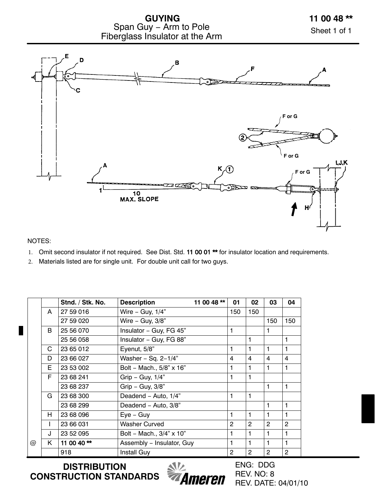



### NOTES:

- 1. Omit second insulator if not required. See Dist. Std. [11 00 01 \\*\\*](https://ameren.sharepoint.com/:b:/r/sites/DistributionStandards/Construction%20Standards/Standards%20Only/11%20Guying/11%2000%2001%2001.pdf?csf=1&e=QXz9Sd) for insulator location and requirements.
- 2. Materials listed are for single unit. For double unit call for two guys.

|   |    | Stnd. / Stk. No. | <b>Description</b>        | 11 00 48 ** | 01  | 02             | 03             | 04             |
|---|----|------------------|---------------------------|-------------|-----|----------------|----------------|----------------|
|   | A  | 27 59 016        | Wire - Guy, $1/4$ "       |             | 150 | 150            |                |                |
|   |    | 27 59 020        | Wire - Guy, 3/8"          |             |     |                | 150            | 150            |
|   | B. | 25 56 070        | Insulator - Guy, FG 45"   |             | 1   |                | 1              |                |
|   |    | 25 56 058        | Insulator - Guy, FG 88"   |             |     | 1              |                | 1              |
|   | C. | 23 65 012        | Eyenut, 5/8"              |             | 1   | 1              | 1              | 1              |
|   | D  | 23 66 027        | Washer - Sq. $2-1/4"$     |             | 4   | $\overline{4}$ | 4              | 4              |
|   | E. | 23 53 002        | Bolt - Mach., 5/8" x 16"  |             | 1   | 1              | 1              | 1              |
|   | F. | 23 68 241        | Grip - Guy, $1/4$ "       |             | 1   | 1              |                |                |
|   |    | 23 68 237        | Grip - Guy, $3/8$ "       |             |     |                | 1              | 1              |
|   | G  | 23 68 300        | Deadend - Auto, 1/4"      |             | 1   | 1              |                |                |
|   |    | 23 68 299        | Deadend - Auto, 3/8"      |             |     |                | 1              | 1              |
|   | H. | 23 68 096        | $Eye - Guy$               |             | 1   | 1              | 1              | 1              |
|   |    | 23 66 031        | Washer Curved             |             | 2   | $\overline{2}$ | $\overline{2}$ | 2              |
|   | J  | 23 52 095        | Bolt - Mach., 3/4" x 10"  |             | 1   | 1              | 1              | 1              |
| @ | K. | 11 00 40**       | Assembly - Insulator, Guy |             | 1   | 1              | 1              | $\mathbf{1}$   |
|   |    | 918              | <b>Install Guy</b>        |             | 2   | 2              | 2              | $\overline{c}$ |

**DISTRIBUTION CONSTRUCTION STANDARDS**

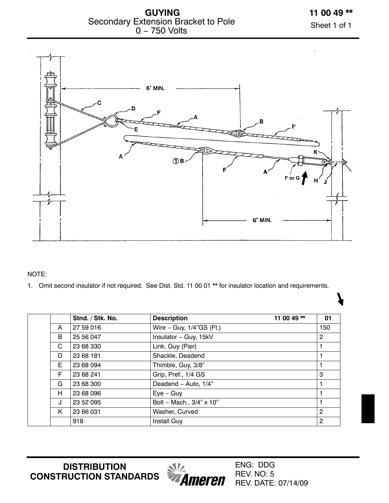**GUYING** Secondary Extension Bracket to Pole 0 − 750 Volts

Sheet 1 of 1



NOTE:

1. Omit second insulator if not required. See Dist. Std. 11 00 01 \*\* for insulator location and requirements.

|   | Stnd. / Stk. No. | <b>Description</b>       | 11 00 49** | 01             |
|---|------------------|--------------------------|------------|----------------|
| A | 27 59 016        | Wire - Guy, 1/4"GS (Ft.) |            | 150            |
| B | 25 56 047        | Insulator - Guy, 15kV    |            | $\overline{2}$ |
| C | 23 68 330        | Link, Guy (Pair)         |            |                |
| D | 23 68 181        | Shackle, Deadend         |            |                |
| E | 23 68 094        | Thimble, Guy, 3/8"       |            |                |
| F | 23 68 241        | Grip, Pref., 1/4 GS      |            | 3              |
| G | 23 68 300        | Deadend - Auto, 1/4"     |            |                |
| H | 23 68 096        | $Eye - Guy$              |            |                |
| J | 23 52 095        | Bolt - Mach., 3/4" x 10" |            |                |
| K | 23 66 031        | Washer, Curved           |            | $\overline{2}$ |
|   | 918              | <b>Install Guy</b>       |            | $\overline{2}$ |

**DISTRIBUTION CONSTRUCTION STANDARDS**

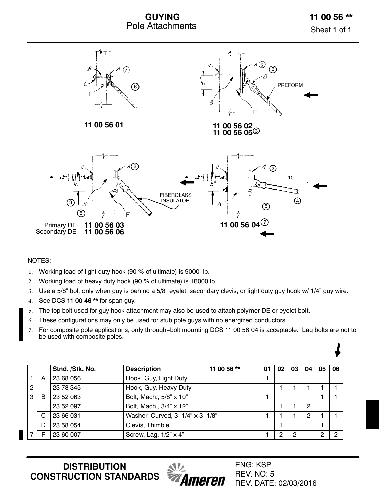



#### NOTES:

П

- 1. Working load of light duty hook (90 % of ultimate) is 9000 lb.
- 2. Working load of heavy duty hook (90 % of ultimate) is 18000 lb.
- 3. Use a 5/8" bolt only when guy is behind a 5/8" eyelet, secondary clevis, or light duty guy hook w/ 1/4" guy wire.
- 4. See DCS [11 00 46 \\*\\*](https://ameren.sharepoint.com/:b:/r/sites/DistributionStandards/Construction%20Standards/Standards%20Only/11%20Guying/11%2000%2046.pdf?csf=1&e=KUNHbj) for span guy.
- 5. The top bolt used for guy hook attachment may also be used to attach polymer DE or eyelet bolt.
- 6. These configurations may only be used for stub pole guys with no energized conductors.
- 7. For composite pole applications, only through−bolt mounting DCS 11 00 56 04 is acceptable. Lag bolts are not to be used with composite poles.

|   |   | Stnd. /Stk. No. | <b>Description</b>              | 11 00 56 ** | 01 | 02 | 03 | 04 | 05 | 06 |
|---|---|-----------------|---------------------------------|-------------|----|----|----|----|----|----|
|   | A | 23 68 056       | Hook, Guy, Light Duty           |             |    |    |    |    |    |    |
| 2 |   | 23 78 345       | Hook, Guy, Heavy Duty           |             |    |    |    |    |    |    |
| 3 | B | 23 52 063       | Bolt, Mach., 5/8" x 10"         |             |    |    |    |    |    |    |
|   |   | 23 52 097       | Bolt, Mach., 3/4" x 12"         |             |    |    |    | 2  |    |    |
|   | C | 23 66 031       | Washer, Curved, 3-1/4" x 3-1/8" |             |    |    |    | 2  |    |    |
|   | D | 23 58 054       | Clevis, Thimble                 |             |    |    |    |    |    |    |
|   |   | 23 60 007       | Screw, Lag, 1/2" x 4"           |             |    | റ  | ົ  |    |    | ≘  |

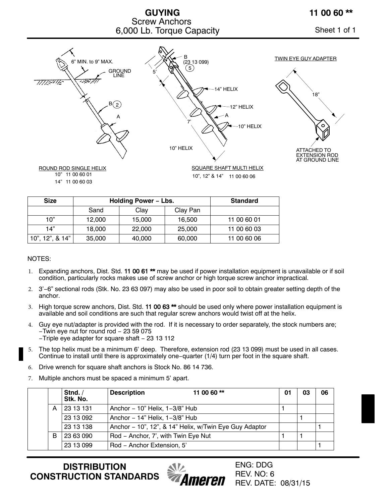### **GUYING** Screw Anchors 6,000 Lb. Torque Capacity **Sheet 1 of 1**

### **11 00 60 \*\***



| <b>Size</b>     | <b>Holding Power - Lbs.</b> |        |          | <b>Standard</b> |
|-----------------|-----------------------------|--------|----------|-----------------|
|                 | Sand                        | Clay   | Clay Pan |                 |
| 10"             | 12.000                      | 15,000 | 16.500   | 11 00 60 01     |
| 14"             | 18,000                      | 22,000 | 25,000   | 11 00 60 03     |
| 10", 12", & 14" | 35,000                      | 40,000 | 60,000   | 11 00 60 06     |

#### NOTES:

- 1. Expanding anchors, Dist. Std. [11 00 61 \\*\\*](https://ameren.sharepoint.com/:b:/r/sites/DistributionStandards/Construction%20Standards/Standards%20Only/11%20Guying/11%2000%2061.pdf?csf=1&e=q6UwPU) may be used if power installation equipment is unavailable or if soil condition, particularly rocks makes use of screw anchor or high torque screw anchor impractical.
- 2. 3'−6" sectional rods (Stk. No. 23 63 097) may also be used in poor soil to obtain greater setting depth of the anchor.
- 3. High torque screw anchors, Dist. Std. 11 00 63<sup>\*\*</sup> should be used only where power installation equipment is available and soil conditions are such that regular screw anchors would twist off at the helix.
- 4. Guy eye nut/adapter is provided with the rod. If it is necessary to order separately, the stock numbers are; −Twin eye nut for round rod − 23 59 075 −Triple eye adapter for square shaft − 23 13 112
- 5. The top helix must be a minimum 6' deep. Therefore, extension rod (23 13 099) must be used in all cases. Continue to install until there is approximately one−quarter (1/4) turn per foot in the square shaft.
- 6. Drive wrench for square shaft anchors is Stock No. 86 14 736.
- 7. Multiple anchors must be spaced a minimum 5' apart.

|   | Stnd. $/$<br>Stk. No. | <b>Description</b>                  | 11 00 60 **                                            | 01 | 03 | 06 |
|---|-----------------------|-------------------------------------|--------------------------------------------------------|----|----|----|
| A | 23 13 131             | Anchor $-10$ " Helix, $1-3/8$ " Hub |                                                        |    |    |    |
|   | 23 13 092             | Anchor - 14" Helix, 1-3/8" Hub      |                                                        |    |    |    |
|   | 23 13 138             |                                     | Anchor - 10", 12", & 14" Helix, w/Twin Eye Guy Adaptor |    |    |    |
| B | 23 63 090             | Rod - Anchor, 7', with Twin Eye Nut |                                                        |    |    |    |
|   | 23 13 099             | Rod - Anchor Extension, 5'          |                                                        |    |    |    |



ENG: DDG REV. NO: 6 REV. DATE: 08/31/15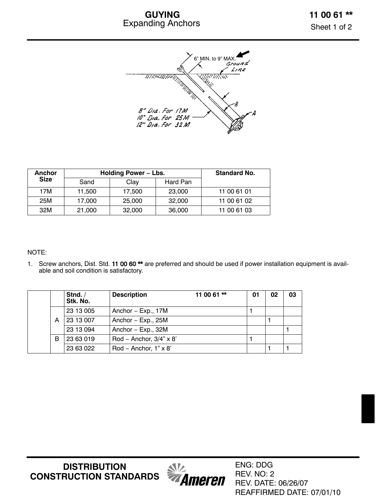### **GUYING** Expanding Anchors



| <b>Anchor</b> | Holding Power - Lbs. |        |          | <b>Standard No.</b> |
|---------------|----------------------|--------|----------|---------------------|
| <b>Size</b>   | Sand                 | Clay   | Hard Pan |                     |
| 17M           | 11.500               | 17.500 | 23,000   | 11 00 61 01         |
| 25M           | 17.000               | 25,000 | 32,000   | 11 00 61 02         |
| 32M           | 21,000               | 32,000 | 36,000   | 11 00 61 03         |

#### NOTE:

1. Screw anchors, Dist. Std. 11 00 60<sup>\*\*</sup> are preferred and should be used if power installation equipment is available and soil condition is satisfactory.

|   | Stnd. $/$<br>Stk. No. | <b>Description</b>           | 11 00 61 $**$ | 01 | 02 | 03 |
|---|-----------------------|------------------------------|---------------|----|----|----|
|   | 23 13 005             | Anchor – Exp., 17M           |               |    |    |    |
| A | 23 13 007             | Anchor - Exp., 25M           |               |    |    |    |
|   | 23 13 094             | Anchor - Exp., 32M           |               |    |    |    |
| в | 23 63 019             | Rod – Anchor, $3/4$ " x 8'   |               |    |    |    |
|   | 23 63 022             | Rod – Anchor, $1" \times 8'$ |               |    |    |    |

**DISTRIBUTION CONSTRUCTION STANDARDS**



ENG: DDG REV. NO: 2 REV. DATE: 06/26/07 REAFFIRMED DATE: 07/01/10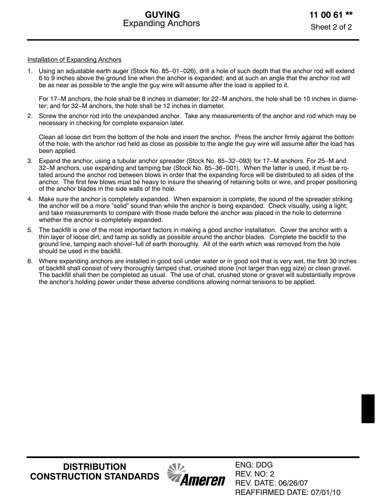#### Installation of Expanding Anchors

1. Using an adjustable earth auger (Stock No. 85−01−026), drill a hole of such depth that the anchor rod will extend 6 to 9 inches above the ground line when the anchor is expanded; and at such an angle that the anchor rod will be as near as possible to the angle the guy wire will assume after the load is applied to it.

For 17−M anchors, the hole shall be 8 inches in diameter; for 22−M anchors, the hole shall be 10 inches in diameter; and for 32−M anchors, the hole shall be 12 inches in diameter.

2. Screw the anchor rod into the unexpanded anchor. Take any measurements of the anchor and rod which may be necessary in checking for complete expansion later.

Clean all loose dirt from the bottom of the hole and insert the anchor. Press the anchor firmly against the bottom of the hole, with the anchor rod held as close as possible to the angle the guy wire will assume after the load has been applied.

- 3. Expand the anchor, using a tubular anchor spreader (Stock No. 85−32−093) for 17−M anchors. For 25−M and 32−M anchors, use expanding and tamping bar (Stock No. 85−36−001). When the latter is used, it must be rotated around the anchor rod between blows in order that the expanding force will be distributed to all sides of the anchor. The first few blows must be heavy to insure the shearing of retaining bolts or wire, and proper positioning of the anchor blades in the side walls of the hole.
- 4. Make sure the anchor is completely expanded. When expansion is complete, the sound of the spreader striking the anchor will be a more "solid" sound than while the anchor is being expanded. Check visually, using a light; and take measurements to compare with those made before the anchor was placed in the hole to determine whether the anchor is completely expanded.
- 5. The backfill is one of the most important factors in making a good anchor installation. Cover the anchor with a thin layer of loose dirt, and tamp as solidly as possible around the anchor blades. Complete the backfill to the ground line, tamping each shovel−full of earth thoroughly. All of the earth which was removed from the hole should be used in the backfill.
- 6. Where expanding anchors are installed in good soil under water or in good soil that is very wet, the first 30 inches of backfill shall consist of very thoroughly tamped chat, crushed stone (not larger than egg size) or clean gravel. The backfill shall then be completed as usual. The use of chat, crushed stone or gravel will substantially improve the anchor's holding power under these adverse conditions allowing normal tensions to be applied.



ENG: DDG REV. NO: 2 REV. DATE: 06/26/07 REAFFIRMED DATE: 07/01/10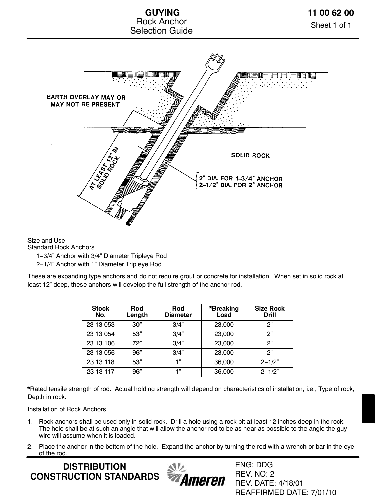

Size and Use

Standard Rock Anchors

1−3/4" Anchor with 3/4" Diameter Tripleye Rod

2−1/4" Anchor with 1" Diameter Tripleye Rod

These are expanding type anchors and do not require grout or concrete for installation. When set in solid rock at least 12" deep, these anchors will develop the full strength of the anchor rod.

| <b>Stock</b><br>No. | Rod<br>Length | Rod<br><b>Diameter</b> | *Breaking<br>Load | <b>Size Rock</b><br><b>Drill</b> |
|---------------------|---------------|------------------------|-------------------|----------------------------------|
| 23 13 053           | 30"           | 3/4"                   | 23,000            | ጋ"                               |
| 23 13 054           | 53"           | 3/4"                   | 23,000            | ጋ"                               |
| 23 13 106           | 72"           | 3/4"                   | 23,000            | ጋ"                               |
| 23 13 056           | 96"           | 3/4"                   | 23,000            | 2"                               |
| 23 13 118           | 53"           | 1"                     | 36,000            | $2 - 1/2"$                       |
| 23 13 117           | 96"           | 1"                     | 36,000            | $2 - 1/2"$                       |

\*Rated tensile strength of rod. Actual holding strength will depend on characteristics of installation, i.e., Type of rock, Depth in rock.

Installation of Rock Anchors

- 1. Rock anchors shall be used only in solid rock. Drill a hole using a rock bit at least 12 inches deep in the rock. The hole shall be at such an angle that will allow the anchor rod to be as near as possible to the angle the guy wire will assume when it is loaded.
- 2. Place the anchor in the bottom of the hole. Expand the anchor by turning the rod with a wrench or bar in the eye of the rod.

**DISTRIBUTION CONSTRUCTION STANDARDS**



ENG: DDG REV. NO: 2 REV. DATE: 4/18/01 REAFFIRMED DATE: 7/01/10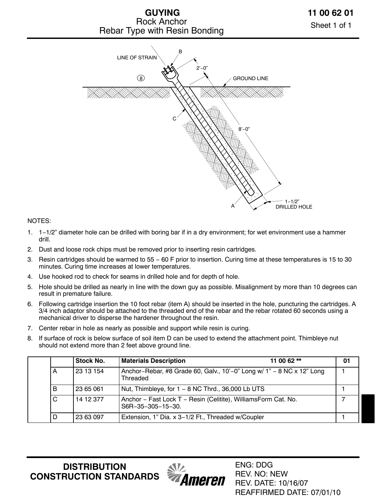



#### NOTES:

- 1. 1−1/2" diameter hole can be drilled with boring bar if in a dry environment; for wet environment use a hammer drill.
- 2. Dust and loose rock chips must be removed prior to inserting resin cartridges.
- 3. Resin cartridges should be warmed to 55 − 60 F prior to insertion. Curing time at these temperatures is 15 to 30 minutes. Curing time increases at lower temperatures.
- 4. Use hooked rod to check for seams in drilled hole and for depth of hole.
- 5. Hole should be drilled as nearly in line with the down guy as possible. Misalignment by more than 10 degrees can result in premature failure.
- 6. Following cartridge insertion the 10 foot rebar (item A) should be inserted in the hole, puncturing the cartridges. A 3/4 inch adaptor should be attached to the threaded end of the rebar and the rebar rotated 60 seconds using a mechanical driver to disperse the hardener throughout the resin.
- 7. Center rebar in hole as nearly as possible and support while resin is curing.
- 8. If surface of rock is below surface of soil item D can be used to extend the attachment point. Thimbleye nut should not extend more than 2 feet above ground line.

|   | Stock No. | 11 00 62 $**$<br><b>Materials Description</b>                                      | 01 |
|---|-----------|------------------------------------------------------------------------------------|----|
|   | 23 13 154 | Anchor-Rebar, #8 Grade 60, Galv., 10'-0" Long w/ 1" - 8 NC x 12" Long<br>Threaded  |    |
| B | 23 65 061 | Nut, Thimbleye, for $1 - 8$ NC Thrd., 36,000 Lb UTS                                |    |
| C | 14 12 377 | Anchor - Fast Lock T - Resin (Celitite), WilliamsForm Cat. No.<br>S6R-35-305-15-30 |    |
|   | 23 63 097 | Extension, 1" Dia. x 3-1/2 Ft., Threaded w/Coupler                                 |    |

**DISTRIBUTION CONSTRUCTION STANDARDS**



ENG: DDG REV. NO: NEW REV. DATE: 10/16/07 REAFFIRMED DATE: 07/01/10